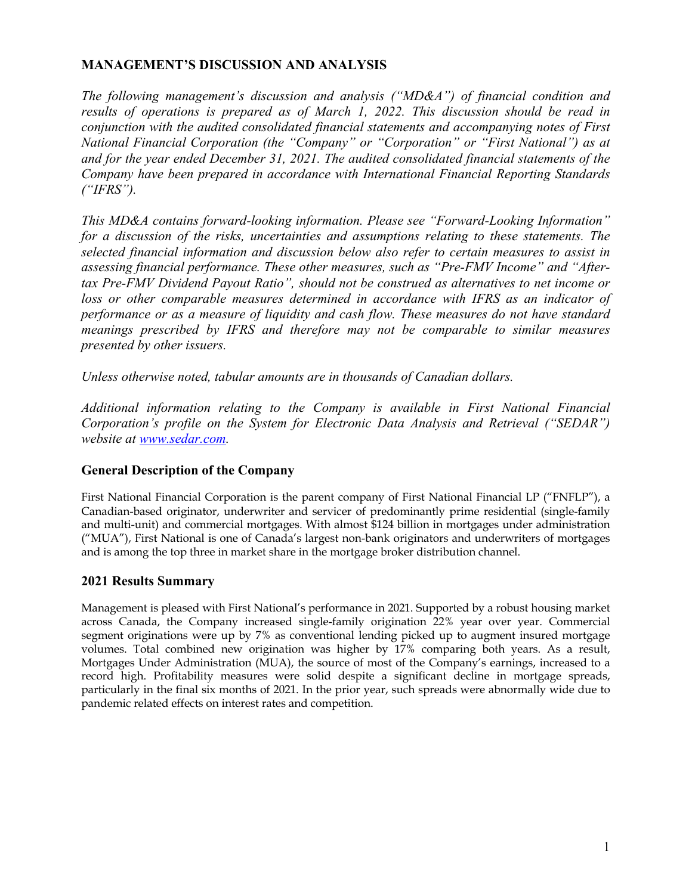# **MANAGEMENT'S DISCUSSION AND ANALYSIS**

*The following management's discussion and analysis ("MD&A") of financial condition and results of operations is prepared as of March 1, 2022. This discussion should be read in conjunction with the audited consolidated financial statements and accompanying notes of First National Financial Corporation (the "Company" or "Corporation" or "First National") as at and for the year ended December 31, 2021. The audited consolidated financial statements of the Company have been prepared in accordance with International Financial Reporting Standards ("IFRS").*

*This MD&A contains forward-looking information. Please see "Forward-Looking Information" for a discussion of the risks, uncertainties and assumptions relating to these statements. The selected financial information and discussion below also refer to certain measures to assist in assessing financial performance. These other measures, such as "Pre-FMV Income" and "Aftertax Pre-FMV Dividend Payout Ratio", should not be construed as alternatives to net income or*  loss or other comparable measures determined in accordance with IFRS as an indicator of *performance or as a measure of liquidity and cash flow. These measures do not have standard meanings prescribed by IFRS and therefore may not be comparable to similar measures presented by other issuers.*

*Unless otherwise noted, tabular amounts are in thousands of Canadian dollars.*

*Additional information relating to the Company is available in First National Financial Corporation's profile on the System for Electronic Data Analysis and Retrieval ("SEDAR") website at www.sedar.com.*

## **General Description of the Company**

First National Financial Corporation is the parent company of First National Financial LP ("FNFLP"), a Canadian-based originator, underwriter and servicer of predominantly prime residential (single-family and multi-unit) and commercial mortgages. With almost \$124 billion in mortgages under administration ("MUA"), First National is one of Canada's largest non-bank originators and underwriters of mortgages and is among the top three in market share in the mortgage broker distribution channel.

## **2021 Results Summary**

Management is pleased with First National's performance in 2021. Supported by a robust housing market across Canada, the Company increased single-family origination 22% year over year. Commercial segment originations were up by 7% as conventional lending picked up to augment insured mortgage volumes. Total combined new origination was higher by 17% comparing both years. As a result, Mortgages Under Administration (MUA), the source of most of the Company's earnings, increased to a record high. Profitability measures were solid despite a significant decline in mortgage spreads, particularly in the final six months of 2021. In the prior year, such spreads were abnormally wide due to pandemic related effects on interest rates and competition.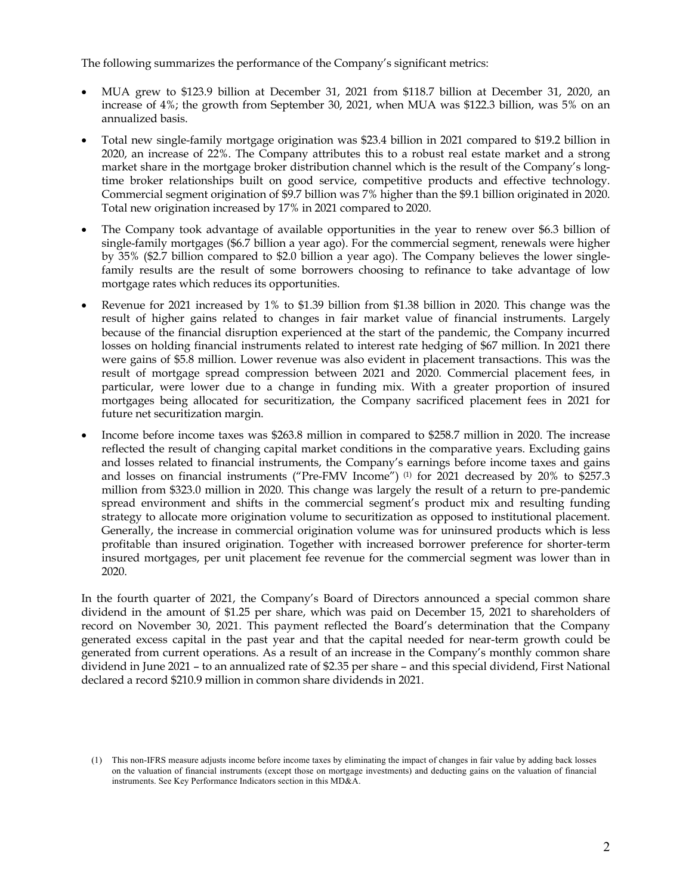The following summarizes the performance of the Company's significant metrics:

- MUA grew to \$123.9 billion at December 31, 2021 from \$118.7 billion at December 31, 2020, an increase of 4%; the growth from September 30, 2021, when MUA was \$122.3 billion, was 5% on an annualized basis.
- Total new single-family mortgage origination was \$23.4 billion in 2021 compared to \$19.2 billion in 2020, an increase of 22%. The Company attributes this to a robust real estate market and a strong market share in the mortgage broker distribution channel which is the result of the Company's longtime broker relationships built on good service, competitive products and effective technology. Commercial segment origination of \$9.7 billion was 7% higher than the \$9.1 billion originated in 2020. Total new origination increased by 17% in 2021 compared to 2020.
- The Company took advantage of available opportunities in the year to renew over \$6.3 billion of single-family mortgages (\$6.7 billion a year ago). For the commercial segment, renewals were higher by 35% (\$2.7 billion compared to \$2.0 billion a year ago). The Company believes the lower singlefamily results are the result of some borrowers choosing to refinance to take advantage of low mortgage rates which reduces its opportunities.
- Revenue for 2021 increased by 1% to \$1.39 billion from \$1.38 billion in 2020. This change was the result of higher gains related to changes in fair market value of financial instruments. Largely because of the financial disruption experienced at the start of the pandemic, the Company incurred losses on holding financial instruments related to interest rate hedging of \$67 million. In 2021 there were gains of \$5.8 million. Lower revenue was also evident in placement transactions. This was the result of mortgage spread compression between 2021 and 2020. Commercial placement fees, in particular, were lower due to a change in funding mix. With a greater proportion of insured mortgages being allocated for securitization, the Company sacrificed placement fees in 2021 for future net securitization margin.
- Income before income taxes was \$263.8 million in compared to \$258.7 million in 2020. The increase reflected the result of changing capital market conditions in the comparative years. Excluding gains and losses related to financial instruments, the Company's earnings before income taxes and gains and losses on financial instruments ("Pre-FMV Income") (1) for 2021 decreased by 20% to \$257.3 million from \$323.0 million in 2020. This change was largely the result of a return to pre-pandemic spread environment and shifts in the commercial segment's product mix and resulting funding strategy to allocate more origination volume to securitization as opposed to institutional placement. Generally, the increase in commercial origination volume was for uninsured products which is less profitable than insured origination. Together with increased borrower preference for shorter-term insured mortgages, per unit placement fee revenue for the commercial segment was lower than in 2020.

In the fourth quarter of 2021, the Company's Board of Directors announced a special common share dividend in the amount of \$1.25 per share, which was paid on December 15, 2021 to shareholders of record on November 30, 2021. This payment reflected the Board's determination that the Company generated excess capital in the past year and that the capital needed for near-term growth could be generated from current operations. As a result of an increase in the Company's monthly common share dividend in June 2021 – to an annualized rate of \$2.35 per share – and this special dividend, First National declared a record \$210.9 million in common share dividends in 2021.

<sup>(1)</sup> This non-IFRS measure adjusts income before income taxes by eliminating the impact of changes in fair value by adding back losses on the valuation of financial instruments (except those on mortgage investments) and deducting gains on the valuation of financial instruments. See Key Performance Indicators section in this MD&A.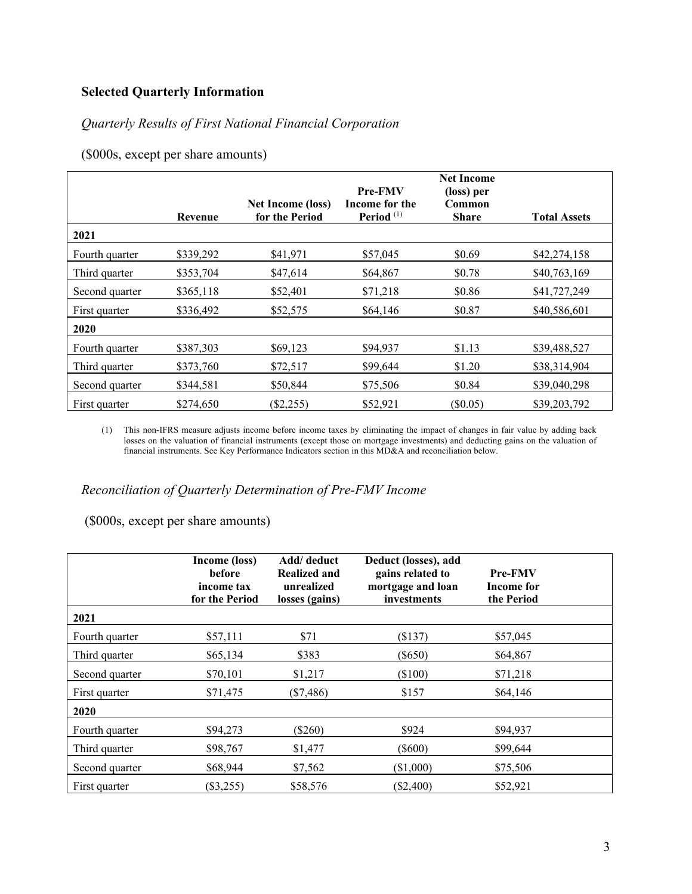# **Selected Quarterly Information**

# *Quarterly Results of First National Financial Corporation*

(\$000s, except per share amounts)

|                | Revenue   | <b>Net Income (loss)</b><br>for the Period | <b>Pre-FMV</b><br>Income for the<br>Period $(1)$ | <b>Net Income</b><br>(loss) per<br>Common<br><b>Share</b> | <b>Total Assets</b> |
|----------------|-----------|--------------------------------------------|--------------------------------------------------|-----------------------------------------------------------|---------------------|
| 2021           |           |                                            |                                                  |                                                           |                     |
| Fourth quarter | \$339,292 | \$41,971                                   | \$57,045                                         | \$0.69                                                    | \$42,274,158        |
| Third quarter  | \$353,704 | \$47,614                                   | \$64,867                                         | \$0.78                                                    | \$40,763,169        |
| Second quarter | \$365,118 | \$52,401                                   | \$71,218                                         | \$0.86                                                    | \$41,727,249        |
| First quarter  | \$336,492 | \$52,575                                   | \$64,146                                         | \$0.87                                                    | \$40,586,601        |
| 2020           |           |                                            |                                                  |                                                           |                     |
| Fourth quarter | \$387,303 | \$69,123                                   | \$94,937                                         | \$1.13                                                    | \$39,488,527        |
| Third quarter  | \$373,760 | \$72,517                                   | \$99,644                                         | \$1.20                                                    | \$38,314,904        |
| Second quarter | \$344,581 | \$50,844                                   | \$75,506                                         | \$0.84                                                    | \$39,040,298        |
| First quarter  | \$274,650 | $(\$2,255)$                                | \$52,921                                         | $(\$0.05)$                                                | \$39,203,792        |

(1) This non-IFRS measure adjusts income before income taxes by eliminating the impact of changes in fair value by adding back losses on the valuation of financial instruments (except those on mortgage investments) and deducting gains on the valuation of financial instruments. See Key Performance Indicators section in this MD&A and reconciliation below.

*Reconciliation of Quarterly Determination of Pre-FMV Income*

(\$000s, except per share amounts)

|                | Income (loss)<br><b>before</b><br>income tax<br>for the Period | Add/ deduct<br><b>Realized and</b><br>unrealized<br>losses (gains) | Deduct (losses), add<br>gains related to<br>mortgage and loan<br>investments | <b>Pre-FMV</b><br>Income for<br>the Period |  |
|----------------|----------------------------------------------------------------|--------------------------------------------------------------------|------------------------------------------------------------------------------|--------------------------------------------|--|
| 2021           |                                                                |                                                                    |                                                                              |                                            |  |
| Fourth quarter | \$57,111                                                       | \$71                                                               | (\$137)                                                                      | \$57,045                                   |  |
| Third quarter  | \$65,134                                                       | \$383                                                              | $(\$650)$                                                                    | \$64,867                                   |  |
| Second quarter | \$70,101                                                       | \$1,217                                                            | $(\$100)$                                                                    | \$71,218                                   |  |
| First quarter  | \$71,475                                                       | $(\$7,486)$                                                        | \$157                                                                        | \$64,146                                   |  |
| 2020           |                                                                |                                                                    |                                                                              |                                            |  |
| Fourth quarter | \$94,273                                                       | $(\$260)$                                                          | \$924                                                                        | \$94,937                                   |  |
| Third quarter  | \$98,767                                                       | \$1,477                                                            | $(\$600)$                                                                    | \$99,644                                   |  |
| Second quarter | \$68,944                                                       | \$7,562                                                            | $(\$1,000)$                                                                  | \$75,506                                   |  |
| First quarter  | $(\$3,255)$                                                    | \$58,576                                                           | $(\$2,400)$                                                                  | \$52,921                                   |  |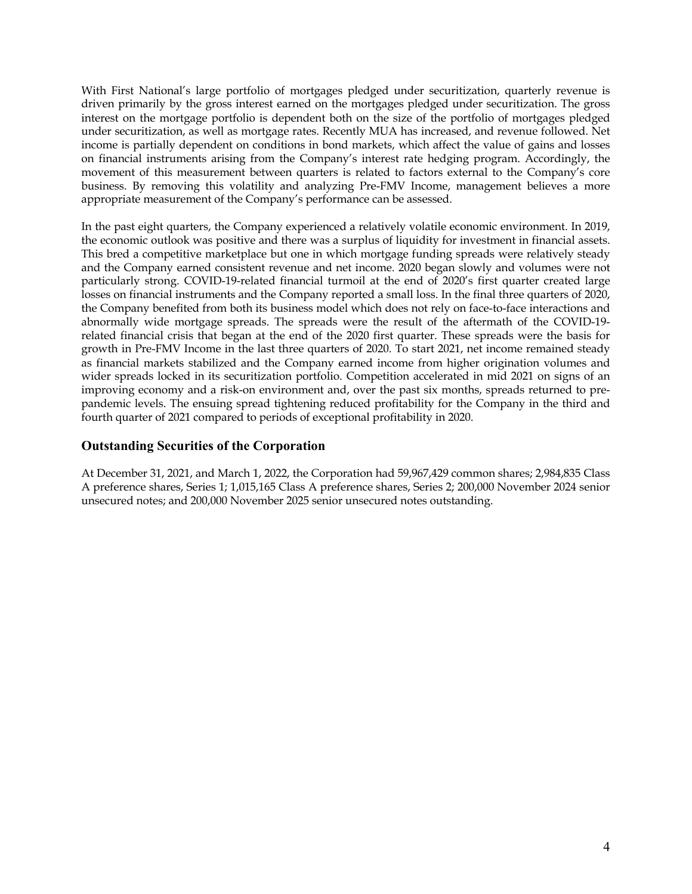With First National's large portfolio of mortgages pledged under securitization, quarterly revenue is driven primarily by the gross interest earned on the mortgages pledged under securitization. The gross interest on the mortgage portfolio is dependent both on the size of the portfolio of mortgages pledged under securitization, as well as mortgage rates. Recently MUA has increased, and revenue followed. Net income is partially dependent on conditions in bond markets, which affect the value of gains and losses on financial instruments arising from the Company's interest rate hedging program. Accordingly, the movement of this measurement between quarters is related to factors external to the Company's core business. By removing this volatility and analyzing Pre-FMV Income, management believes a more appropriate measurement of the Company's performance can be assessed.

In the past eight quarters, the Company experienced a relatively volatile economic environment. In 2019, the economic outlook was positive and there was a surplus of liquidity for investment in financial assets. This bred a competitive marketplace but one in which mortgage funding spreads were relatively steady and the Company earned consistent revenue and net income. 2020 began slowly and volumes were not particularly strong. COVID-19-related financial turmoil at the end of 2020's first quarter created large losses on financial instruments and the Company reported a small loss. In the final three quarters of 2020, the Company benefited from both its business model which does not rely on face-to-face interactions and abnormally wide mortgage spreads. The spreads were the result of the aftermath of the COVID-19 related financial crisis that began at the end of the 2020 first quarter. These spreads were the basis for growth in Pre-FMV Income in the last three quarters of 2020. To start 2021, net income remained steady as financial markets stabilized and the Company earned income from higher origination volumes and wider spreads locked in its securitization portfolio. Competition accelerated in mid 2021 on signs of an improving economy and a risk-on environment and, over the past six months, spreads returned to prepandemic levels. The ensuing spread tightening reduced profitability for the Company in the third and fourth quarter of 2021 compared to periods of exceptional profitability in 2020.

### **Outstanding Securities of the Corporation**

At December 31, 2021, and March 1, 2022, the Corporation had 59,967,429 common shares; 2,984,835 Class A preference shares, Series 1; 1,015,165 Class A preference shares, Series 2; 200,000 November 2024 senior unsecured notes; and 200,000 November 2025 senior unsecured notes outstanding.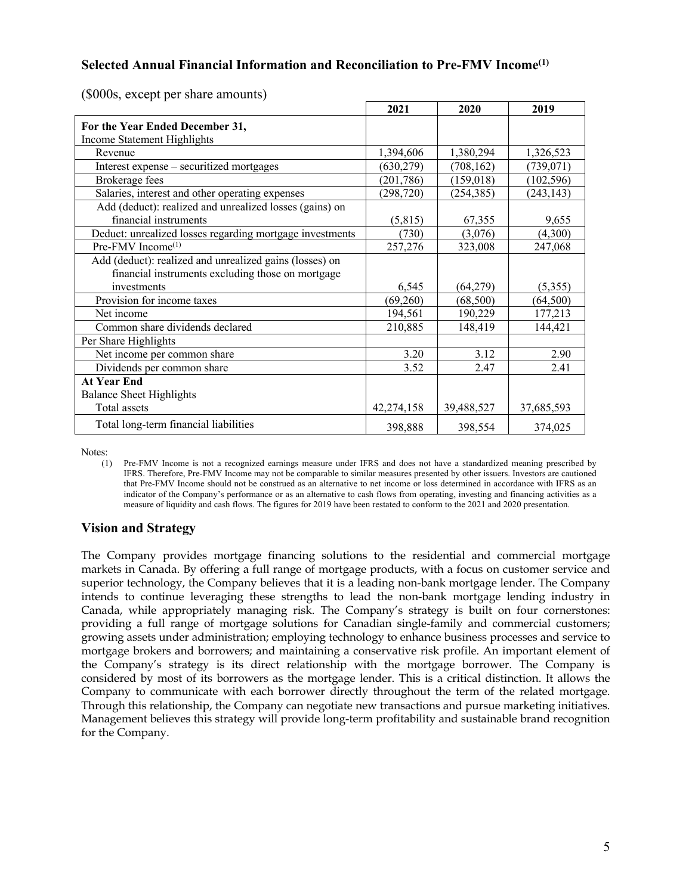## **Selected Annual Financial Information and Reconciliation to Pre-FMV Income(1)**

|                                                          | 2021       | 2020       | 2019       |
|----------------------------------------------------------|------------|------------|------------|
| For the Year Ended December 31,                          |            |            |            |
| Income Statement Highlights                              |            |            |            |
| Revenue                                                  | 1,394,606  | 1,380,294  | 1,326,523  |
| Interest expense – securitized mortgages                 | (630, 279) | (708, 162) | (739, 071) |
| Brokerage fees                                           | (201, 786) | (159,018)  | (102, 596) |
| Salaries, interest and other operating expenses          | (298, 720) | (254, 385) | (243, 143) |
| Add (deduct): realized and unrealized losses (gains) on  |            |            |            |
| financial instruments                                    | (5,815)    | 67,355     | 9,655      |
| Deduct: unrealized losses regarding mortgage investments | (730)      | (3,076)    | (4,300)    |
| $Pre$ -FMV Income $(1)$                                  | 257,276    | 323,008    | 247,068    |
| Add (deduct): realized and unrealized gains (losses) on  |            |            |            |
| financial instruments excluding those on mortgage        |            |            |            |
| investments                                              | 6,545      | (64,279)   | (5,355)    |
| Provision for income taxes                               | (69,260)   | (68,500)   | (64, 500)  |
| Net income                                               | 194,561    | 190,229    | 177,213    |
| Common share dividends declared                          | 210,885    | 148,419    | 144,421    |
| Per Share Highlights                                     |            |            |            |
| Net income per common share                              | 3.20       | 3.12       | 2.90       |
| Dividends per common share                               | 3.52       | 2.47       | 2.41       |
| <b>At Year End</b>                                       |            |            |            |
| <b>Balance Sheet Highlights</b>                          |            |            |            |
| Total assets                                             | 42,274,158 | 39,488,527 | 37,685,593 |
| Total long-term financial liabilities                    | 398,888    | 398,554    | 374,025    |

(\$000s, except per share amounts)

Notes:

(1) Pre-FMV Income is not a recognized earnings measure under IFRS and does not have a standardized meaning prescribed by IFRS. Therefore, Pre-FMV Income may not be comparable to similar measures presented by other issuers. Investors are cautioned that Pre-FMV Income should not be construed as an alternative to net income or loss determined in accordance with IFRS as an indicator of the Company's performance or as an alternative to cash flows from operating, investing and financing activities as a measure of liquidity and cash flows. The figures for 2019 have been restated to conform to the 2021 and 2020 presentation.

## **Vision and Strategy**

The Company provides mortgage financing solutions to the residential and commercial mortgage markets in Canada. By offering a full range of mortgage products, with a focus on customer service and superior technology, the Company believes that it is a leading non-bank mortgage lender. The Company intends to continue leveraging these strengths to lead the non-bank mortgage lending industry in Canada, while appropriately managing risk. The Company's strategy is built on four cornerstones: providing a full range of mortgage solutions for Canadian single-family and commercial customers; growing assets under administration; employing technology to enhance business processes and service to mortgage brokers and borrowers; and maintaining a conservative risk profile. An important element of the Company's strategy is its direct relationship with the mortgage borrower. The Company is considered by most of its borrowers as the mortgage lender. This is a critical distinction. It allows the Company to communicate with each borrower directly throughout the term of the related mortgage. Through this relationship, the Company can negotiate new transactions and pursue marketing initiatives. Management believes this strategy will provide long-term profitability and sustainable brand recognition for the Company.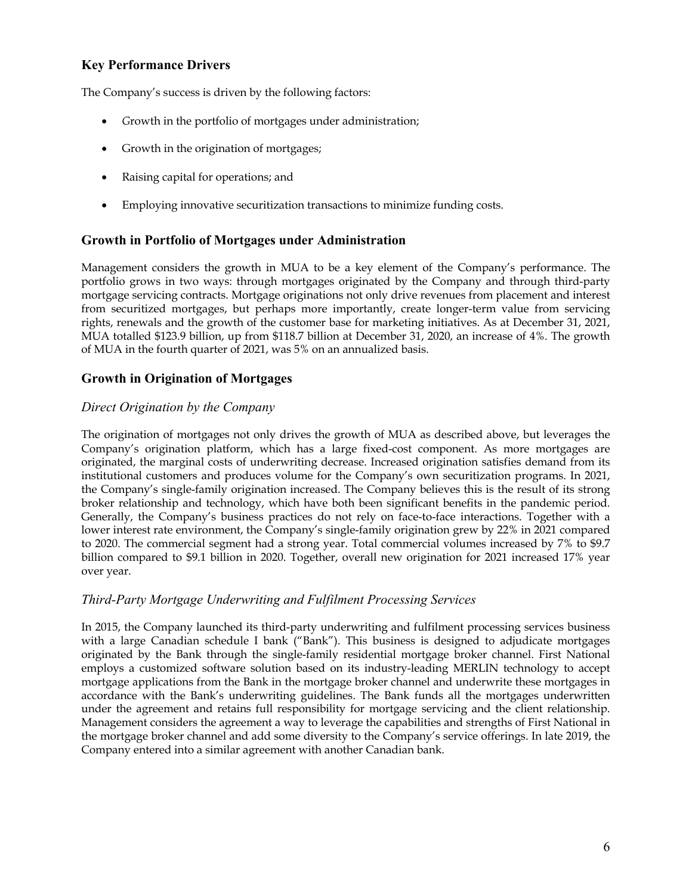# **Key Performance Drivers**

The Company's success is driven by the following factors:

- *G*rowth in the portfolio of mortgages under administration;
- Growth in the origination of mortgages;
- Raising capital for operations; and
- Employing innovative securitization transactions to minimize funding costs.

## **Growth in Portfolio of Mortgages under Administration**

Management considers the growth in MUA to be a key element of the Company's performance. The portfolio grows in two ways: through mortgages originated by the Company and through third-party mortgage servicing contracts. Mortgage originations not only drive revenues from placement and interest from securitized mortgages, but perhaps more importantly, create longer-term value from servicing rights, renewals and the growth of the customer base for marketing initiatives. As at December 31, 2021, MUA totalled \$123.9 billion, up from \$118.7 billion at December 31, 2020, an increase of 4%. The growth of MUA in the fourth quarter of 2021, was 5% on an annualized basis.

## **Growth in Origination of Mortgages**

### *Direct Origination by the Company*

The origination of mortgages not only drives the growth of MUA as described above, but leverages the Company's origination platform, which has a large fixed-cost component. As more mortgages are originated, the marginal costs of underwriting decrease. Increased origination satisfies demand from its institutional customers and produces volume for the Company's own securitization programs. In 2021, the Company's single-family origination increased. The Company believes this is the result of its strong broker relationship and technology, which have both been significant benefits in the pandemic period. Generally, the Company's business practices do not rely on face-to-face interactions. Together with a lower interest rate environment, the Company's single-family origination grew by 22% in 2021 compared to 2020. The commercial segment had a strong year. Total commercial volumes increased by 7% to \$9.7 billion compared to \$9.1 billion in 2020. Together, overall new origination for 2021 increased 17% year over year.

#### *Third-Party Mortgage Underwriting and Fulfilment Processing Services*

In 2015, the Company launched its third-party underwriting and fulfilment processing services business with a large Canadian schedule I bank ("Bank"). This business is designed to adjudicate mortgages originated by the Bank through the single-family residential mortgage broker channel. First National employs a customized software solution based on its industry-leading MERLIN technology to accept mortgage applications from the Bank in the mortgage broker channel and underwrite these mortgages in accordance with the Bank's underwriting guidelines. The Bank funds all the mortgages underwritten under the agreement and retains full responsibility for mortgage servicing and the client relationship. Management considers the agreement a way to leverage the capabilities and strengths of First National in the mortgage broker channel and add some diversity to the Company's service offerings. In late 2019, the Company entered into a similar agreement with another Canadian bank.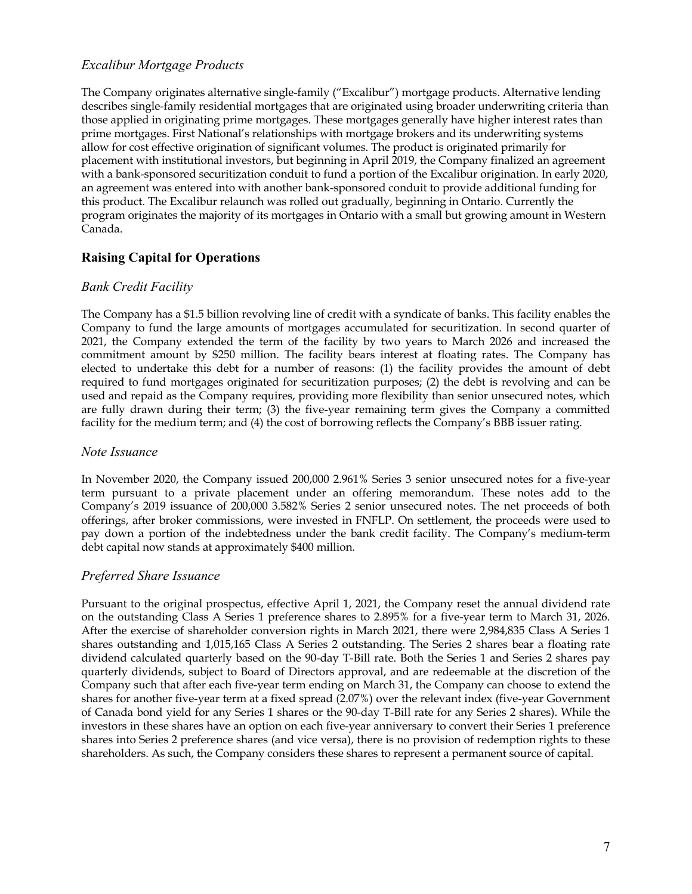## *Excalibur Mortgage Products*

The Company originates alternative single-family ("Excalibur") mortgage products. Alternative lending describes single-family residential mortgages that are originated using broader underwriting criteria than those applied in originating prime mortgages. These mortgages generally have higher interest rates than prime mortgages. First National's relationships with mortgage brokers and its underwriting systems allow for cost effective origination of significant volumes. The product is originated primarily for placement with institutional investors, but beginning in April 2019, the Company finalized an agreement with a bank-sponsored securitization conduit to fund a portion of the Excalibur origination. In early 2020, an agreement was entered into with another bank-sponsored conduit to provide additional funding for this product. The Excalibur relaunch was rolled out gradually, beginning in Ontario. Currently the program originates the majority of its mortgages in Ontario with a small but growing amount in Western Canada.

# **Raising Capital for Operations**

### *Bank Credit Facility*

The Company has a \$1.5 billion revolving line of credit with a syndicate of banks. This facility enables the Company to fund the large amounts of mortgages accumulated for securitization. In second quarter of 2021, the Company extended the term of the facility by two years to March 2026 and increased the commitment amount by \$250 million. The facility bears interest at floating rates. The Company has elected to undertake this debt for a number of reasons: (1) the facility provides the amount of debt required to fund mortgages originated for securitization purposes; (2) the debt is revolving and can be used and repaid as the Company requires, providing more flexibility than senior unsecured notes, which are fully drawn during their term; (3) the five-year remaining term gives the Company a committed facility for the medium term; and (4) the cost of borrowing reflects the Company's BBB issuer rating.

#### *Note Issuance*

In November 2020, the Company issued 200,000 2.961% Series 3 senior unsecured notes for a five-year term pursuant to a private placement under an offering memorandum. These notes add to the Company's 2019 issuance of 200,000 3.582% Series 2 senior unsecured notes. The net proceeds of both offerings, after broker commissions, were invested in FNFLP. On settlement, the proceeds were used to pay down a portion of the indebtedness under the bank credit facility. The Company's medium-term debt capital now stands at approximately \$400 million.

## *Preferred Share Issuance*

Pursuant to the original prospectus, effective April 1, 2021, the Company reset the annual dividend rate on the outstanding Class A Series 1 preference shares to 2.895% for a five-year term to March 31, 2026. After the exercise of shareholder conversion rights in March 2021, there were 2,984,835 Class A Series 1 shares outstanding and 1,015,165 Class A Series 2 outstanding. The Series 2 shares bear a floating rate dividend calculated quarterly based on the 90-day T-Bill rate. Both the Series 1 and Series 2 shares pay quarterly dividends, subject to Board of Directors approval, and are redeemable at the discretion of the Company such that after each five-year term ending on March 31, the Company can choose to extend the shares for another five-year term at a fixed spread (2.07%) over the relevant index (five-year Government of Canada bond yield for any Series 1 shares or the 90-day T-Bill rate for any Series 2 shares). While the investors in these shares have an option on each five-year anniversary to convert their Series 1 preference shares into Series 2 preference shares (and vice versa), there is no provision of redemption rights to these shareholders. As such, the Company considers these shares to represent a permanent source of capital.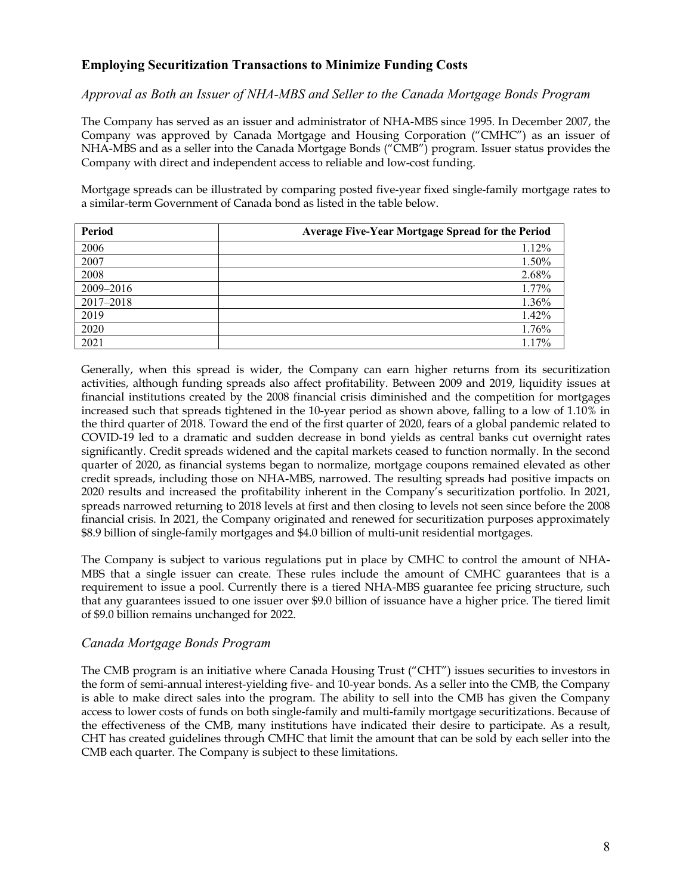# **Employing Securitization Transactions to Minimize Funding Costs**

### *Approval as Both an Issuer of NHA-MBS and Seller to the Canada Mortgage Bonds Program*

The Company has served as an issuer and administrator of NHA-MBS since 1995. In December 2007, the Company was approved by Canada Mortgage and Housing Corporation ("CMHC") as an issuer of NHA-MBS and as a seller into the Canada Mortgage Bonds ("CMB") program. Issuer status provides the Company with direct and independent access to reliable and low-cost funding.

Mortgage spreads can be illustrated by comparing posted five-year fixed single-family mortgage rates to a similar-term Government of Canada bond as listed in the table below.

| Period    | <b>Average Five-Year Mortgage Spread for the Period</b> |
|-----------|---------------------------------------------------------|
| 2006      | 1.12%                                                   |
| 2007      | 1.50%                                                   |
| 2008      | 2.68%                                                   |
| 2009-2016 | 1.77%                                                   |
| 2017-2018 | 1.36%                                                   |
| 2019      | 1.42%                                                   |
| 2020      | 1.76%                                                   |
| 2021      | 1.17%                                                   |

Generally, when this spread is wider, the Company can earn higher returns from its securitization activities, although funding spreads also affect profitability. Between 2009 and 2019, liquidity issues at financial institutions created by the 2008 financial crisis diminished and the competition for mortgages increased such that spreads tightened in the 10-year period as shown above, falling to a low of 1.10% in the third quarter of 2018. Toward the end of the first quarter of 2020, fears of a global pandemic related to COVID-19 led to a dramatic and sudden decrease in bond yields as central banks cut overnight rates significantly. Credit spreads widened and the capital markets ceased to function normally. In the second quarter of 2020, as financial systems began to normalize, mortgage coupons remained elevated as other credit spreads, including those on NHA-MBS, narrowed. The resulting spreads had positive impacts on 2020 results and increased the profitability inherent in the Company's securitization portfolio. In 2021, spreads narrowed returning to 2018 levels at first and then closing to levels not seen since before the 2008 financial crisis. In 2021, the Company originated and renewed for securitization purposes approximately \$8.9 billion of single-family mortgages and \$4.0 billion of multi-unit residential mortgages.

The Company is subject to various regulations put in place by CMHC to control the amount of NHA-MBS that a single issuer can create. These rules include the amount of CMHC guarantees that is a requirement to issue a pool. Currently there is a tiered NHA-MBS guarantee fee pricing structure, such that any guarantees issued to one issuer over \$9.0 billion of issuance have a higher price. The tiered limit of \$9.0 billion remains unchanged for 2022.

#### *Canada Mortgage Bonds Program*

The CMB program is an initiative where Canada Housing Trust ("CHT") issues securities to investors in the form of semi-annual interest-yielding five- and 10-year bonds. As a seller into the CMB, the Company is able to make direct sales into the program. The ability to sell into the CMB has given the Company access to lower costs of funds on both single-family and multi-family mortgage securitizations. Because of the effectiveness of the CMB, many institutions have indicated their desire to participate. As a result, CHT has created guidelines through CMHC that limit the amount that can be sold by each seller into the CMB each quarter. The Company is subject to these limitations.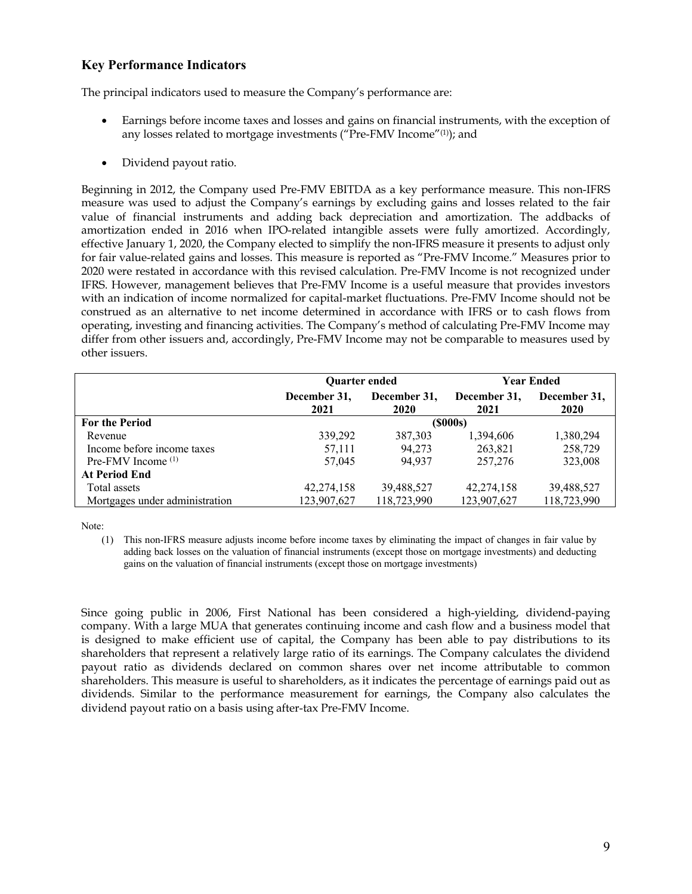# **Key Performance Indicators**

The principal indicators used to measure the Company's performance are:

- Earnings before income taxes and losses and gains on financial instruments, with the exception of any losses related to mortgage investments ("Pre-FMV Income"(1)); and
- Dividend payout ratio.

Beginning in 2012, the Company used Pre-FMV EBITDA as a key performance measure. This non-IFRS measure was used to adjust the Company's earnings by excluding gains and losses related to the fair value of financial instruments and adding back depreciation and amortization. The addbacks of amortization ended in 2016 when IPO-related intangible assets were fully amortized. Accordingly, effective January 1, 2020, the Company elected to simplify the non-IFRS measure it presents to adjust only for fair value-related gains and losses. This measure is reported as "Pre-FMV Income." Measures prior to 2020 were restated in accordance with this revised calculation. Pre-FMV Income is not recognized under IFRS. However, management believes that Pre-FMV Income is a useful measure that provides investors with an indication of income normalized for capital-market fluctuations. Pre-FMV Income should not be construed as an alternative to net income determined in accordance with IFRS or to cash flows from operating, investing and financing activities. The Company's method of calculating Pre-FMV Income may differ from other issuers and, accordingly, Pre-FMV Income may not be comparable to measures used by other issuers.

|                                | <b>Ouarter ended</b> |                      | Year Ended           |                             |  |  |
|--------------------------------|----------------------|----------------------|----------------------|-----------------------------|--|--|
|                                | December 31,<br>2021 | December 31,<br>2020 | December 31,<br>2021 | December 31,<br><b>2020</b> |  |  |
| <b>For the Period</b>          | $($ \$000s $)$       |                      |                      |                             |  |  |
| Revenue                        | 339,292              | 387,303              | 1,394,606            | 1,380,294                   |  |  |
| Income before income taxes     | 57,111               | 94,273               | 263,821              | 258,729                     |  |  |
| Pre-FMV Income $(1)$           | 57,045               | 94.937               | 257,276              | 323,008                     |  |  |
| <b>At Period End</b>           |                      |                      |                      |                             |  |  |
| Total assets                   | 42,274,158           | 39,488,527           | 42,274,158           | 39,488,527                  |  |  |
| Mortgages under administration | 123,907,627          | 118,723,990          | 123,907,627          | 118,723,990                 |  |  |

Note:

(1) This non-IFRS measure adjusts income before income taxes by eliminating the impact of changes in fair value by adding back losses on the valuation of financial instruments (except those on mortgage investments) and deducting gains on the valuation of financial instruments (except those on mortgage investments)

Since going public in 2006, First National has been considered a high-yielding, dividend-paying company. With a large MUA that generates continuing income and cash flow and a business model that is designed to make efficient use of capital, the Company has been able to pay distributions to its shareholders that represent a relatively large ratio of its earnings. The Company calculates the dividend payout ratio as dividends declared on common shares over net income attributable to common shareholders. This measure is useful to shareholders, as it indicates the percentage of earnings paid out as dividends. Similar to the performance measurement for earnings, the Company also calculates the dividend payout ratio on a basis using after-tax Pre-FMV Income.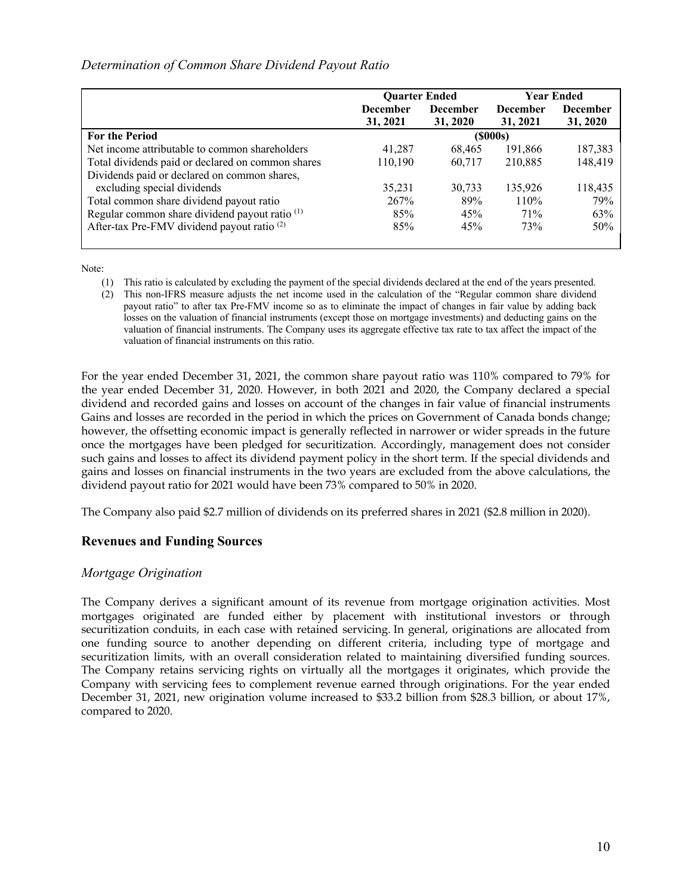## *Determination of Common Share Dividend Payout Ratio*

|                                                           | <b>Quarter Ended</b> |                 | <b>Year Ended</b> |                 |
|-----------------------------------------------------------|----------------------|-----------------|-------------------|-----------------|
|                                                           | <b>December</b>      | <b>December</b> | <b>December</b>   | <b>December</b> |
|                                                           | 31, 2021             | 31, 2020        | 31, 2021          | 31, 2020        |
| <b>For the Period</b>                                     |                      |                 | (\$000s)          |                 |
| Net income attributable to common shareholders            | 41,287               | 68.465          | 191,866           | 187,383         |
| Total dividends paid or declared on common shares         | 110.190              | 60.717          | 210.885           | 148,419         |
| Dividends paid or declared on common shares,              |                      |                 |                   |                 |
| excluding special dividends                               | 35,231               | 30.733          | 135,926           | 118,435         |
| Total common share dividend payout ratio                  | 267%                 | 89%             | 110%              | 79%             |
| Regular common share dividend payout ratio <sup>(1)</sup> | 85%                  | 45%             | 71%               | 63%             |
| After-tax Pre-FMV dividend payout ratio <sup>(2)</sup>    | 85%                  | 45%             | 73%               | 50%             |
|                                                           |                      |                 |                   |                 |

Note:

- (1) This ratio is calculated by excluding the payment of the special dividends declared at the end of the years presented.
- (2) This non-IFRS measure adjusts the net income used in the calculation of the "Regular common share dividend payout ratio" to after tax Pre-FMV income so as to eliminate the impact of changes in fair value by adding back losses on the valuation of financial instruments (except those on mortgage investments) and deducting gains on the valuation of financial instruments. The Company uses its aggregate effective tax rate to tax affect the impact of the valuation of financial instruments on this ratio.

For the year ended December 31, 2021, the common share payout ratio was 110% compared to 79% for the year ended December 31, 2020. However, in both 2021 and 2020, the Company declared a special dividend and recorded gains and losses on account of the changes in fair value of financial instruments Gains and losses are recorded in the period in which the prices on Government of Canada bonds change; however, the offsetting economic impact is generally reflected in narrower or wider spreads in the future once the mortgages have been pledged for securitization. Accordingly, management does not consider such gains and losses to affect its dividend payment policy in the short term. If the special dividends and gains and losses on financial instruments in the two years are excluded from the above calculations, the dividend payout ratio for 2021 would have been 73% compared to 50% in 2020.

The Company also paid \$2.7 million of dividends on its preferred shares in 2021 (\$2.8 million in 2020).

## **Revenues and Funding Sources**

#### *Mortgage Origination*

The Company derives a significant amount of its revenue from mortgage origination activities. Most mortgages originated are funded either by placement with institutional investors or through securitization conduits, in each case with retained servicing. In general, originations are allocated from one funding source to another depending on different criteria, including type of mortgage and securitization limits, with an overall consideration related to maintaining diversified funding sources. The Company retains servicing rights on virtually all the mortgages it originates, which provide the Company with servicing fees to complement revenue earned through originations. For the year ended December 31, 2021, new origination volume increased to \$33.2 billion from \$28.3 billion, or about 17%, compared to 2020.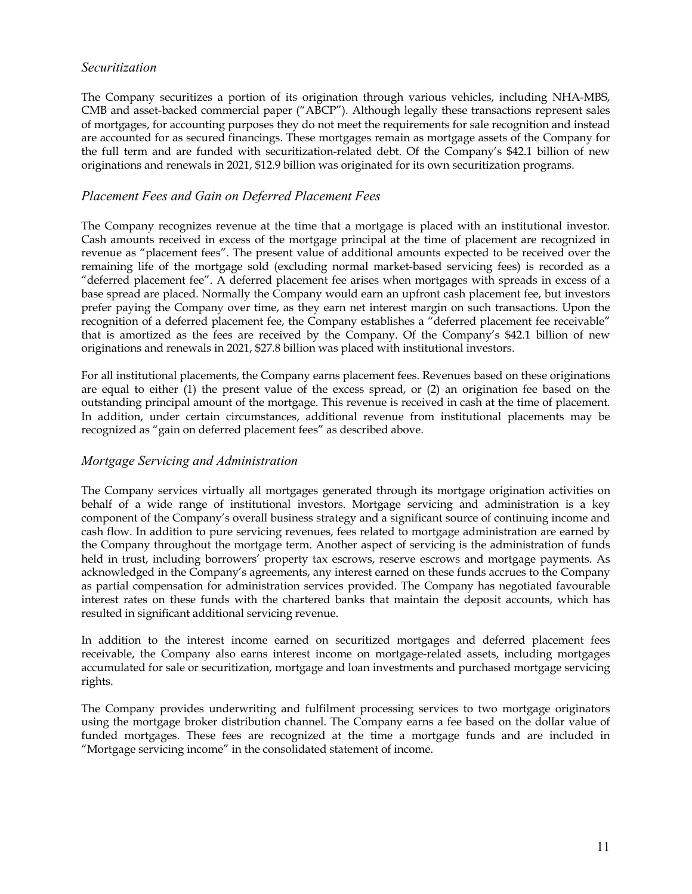## *Securitization*

The Company securitizes a portion of its origination through various vehicles, including NHA-MBS, CMB and asset-backed commercial paper ("ABCP"). Although legally these transactions represent sales of mortgages, for accounting purposes they do not meet the requirements for sale recognition and instead are accounted for as secured financings. These mortgages remain as mortgage assets of the Company for the full term and are funded with securitization-related debt. Of the Company's \$42.1 billion of new originations and renewals in 2021, \$12.9 billion was originated for its own securitization programs.

## *Placement Fees and Gain on Deferred Placement Fees*

The Company recognizes revenue at the time that a mortgage is placed with an institutional investor. Cash amounts received in excess of the mortgage principal at the time of placement are recognized in revenue as "placement fees". The present value of additional amounts expected to be received over the remaining life of the mortgage sold (excluding normal market-based servicing fees) is recorded as a "deferred placement fee". A deferred placement fee arises when mortgages with spreads in excess of a base spread are placed. Normally the Company would earn an upfront cash placement fee, but investors prefer paying the Company over time, as they earn net interest margin on such transactions. Upon the recognition of a deferred placement fee, the Company establishes a "deferred placement fee receivable" that is amortized as the fees are received by the Company. Of the Company's \$42.1 billion of new originations and renewals in 2021, \$27.8 billion was placed with institutional investors.

For all institutional placements, the Company earns placement fees. Revenues based on these originations are equal to either (1) the present value of the excess spread, or (2) an origination fee based on the outstanding principal amount of the mortgage. This revenue is received in cash at the time of placement. In addition, under certain circumstances, additional revenue from institutional placements may be recognized as "gain on deferred placement fees" as described above.

#### *Mortgage Servicing and Administration*

The Company services virtually all mortgages generated through its mortgage origination activities on behalf of a wide range of institutional investors. Mortgage servicing and administration is a key component of the Company's overall business strategy and a significant source of continuing income and cash flow. In addition to pure servicing revenues, fees related to mortgage administration are earned by the Company throughout the mortgage term. Another aspect of servicing is the administration of funds held in trust, including borrowers' property tax escrows, reserve escrows and mortgage payments. As acknowledged in the Company's agreements, any interest earned on these funds accrues to the Company as partial compensation for administration services provided. The Company has negotiated favourable interest rates on these funds with the chartered banks that maintain the deposit accounts, which has resulted in significant additional servicing revenue.

In addition to the interest income earned on securitized mortgages and deferred placement fees receivable, the Company also earns interest income on mortgage-related assets, including mortgages accumulated for sale or securitization, mortgage and loan investments and purchased mortgage servicing rights.

The Company provides underwriting and fulfilment processing services to two mortgage originators using the mortgage broker distribution channel. The Company earns a fee based on the dollar value of funded mortgages. These fees are recognized at the time a mortgage funds and are included in "Mortgage servicing income" in the consolidated statement of income.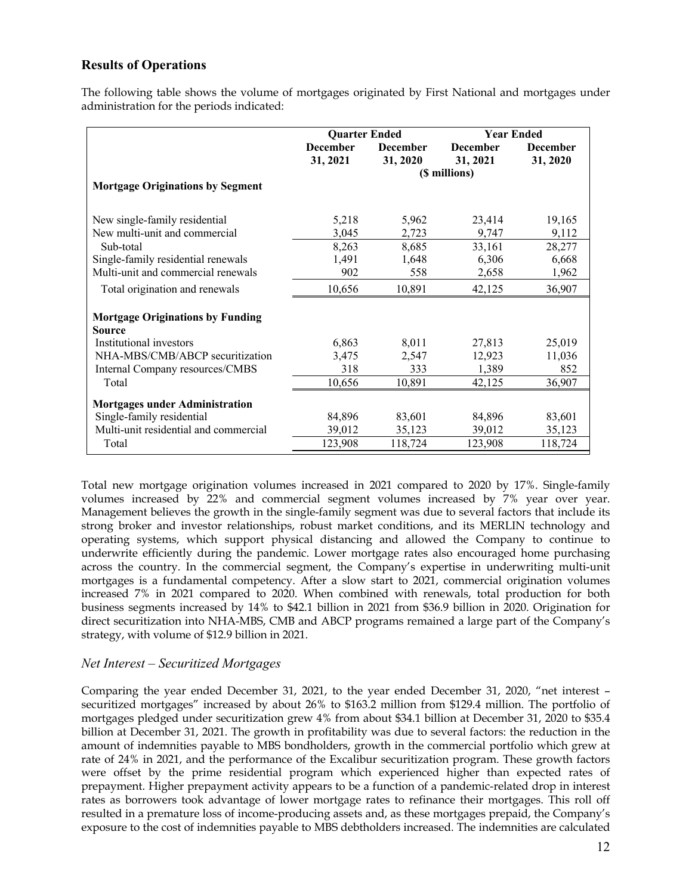# **Results of Operations**

The following table shows the volume of mortgages originated by First National and mortgages under administration for the periods indicated:

|                                         | <b>Quarter Ended</b> |                 | <b>Year Ended</b> |                 |
|-----------------------------------------|----------------------|-----------------|-------------------|-----------------|
|                                         | <b>December</b>      | <b>December</b> | <b>December</b>   | <b>December</b> |
|                                         | 31, 2021             | 31, 2020        | 31, 2021          | 31, 2020        |
|                                         |                      |                 | (\$ millions)     |                 |
| <b>Mortgage Originations by Segment</b> |                      |                 |                   |                 |
| New single-family residential           | 5,218                | 5,962           | 23,414            | 19,165          |
| New multi-unit and commercial           | 3,045                | 2,723           | 9,747             | 9,112           |
| Sub-total                               | 8,263                | 8,685           | 33,161            | 28,277          |
| Single-family residential renewals      | 1,491                | 1,648           | 6,306             | 6,668           |
| Multi-unit and commercial renewals      | 902                  | 558             | 2,658             | 1,962           |
| Total origination and renewals          | 10,656               | 10,891          | 42,125            | 36,907          |
| <b>Mortgage Originations by Funding</b> |                      |                 |                   |                 |
| Source                                  |                      |                 |                   |                 |
| Institutional investors                 | 6,863                | 8,011           | 27,813            | 25,019          |
| NHA-MBS/CMB/ABCP securitization         | 3,475                | 2,547           | 12,923            | 11,036          |
| Internal Company resources/CMBS         | 318                  | 333             | 1,389             | 852             |
| Total                                   | 10,656               | 10,891          | 42,125            | 36,907          |
| <b>Mortgages under Administration</b>   |                      |                 |                   |                 |
| Single-family residential               | 84,896               | 83,601          | 84,896            | 83,601          |
| Multi-unit residential and commercial   | 39,012               | 35,123          | 39,012            | 35,123          |
| Total                                   | 123,908              | 118,724         | 123,908           | 118,724         |

Total new mortgage origination volumes increased in 2021 compared to 2020 by 17%. Single-family volumes increased by 22% and commercial segment volumes increased by 7% year over year. Management believes the growth in the single-family segment was due to several factors that include its strong broker and investor relationships, robust market conditions, and its MERLIN technology and operating systems, which support physical distancing and allowed the Company to continue to underwrite efficiently during the pandemic. Lower mortgage rates also encouraged home purchasing across the country. In the commercial segment, the Company's expertise in underwriting multi-unit mortgages is a fundamental competency. After a slow start to 2021, commercial origination volumes increased 7% in 2021 compared to 2020. When combined with renewals, total production for both business segments increased by 14% to \$42.1 billion in 2021 from \$36.9 billion in 2020. Origination for direct securitization into NHA-MBS, CMB and ABCP programs remained a large part of the Company's strategy, with volume of \$12.9 billion in 2021.

#### *Net Interest – Securitized Mortgages*

Comparing the year ended December 31, 2021, to the year ended December 31, 2020, "net interest – securitized mortgages" increased by about 26% to \$163.2 million from \$129.4 million. The portfolio of mortgages pledged under securitization grew 4% from about \$34.1 billion at December 31, 2020 to \$35.4 billion at December 31, 2021. The growth in profitability was due to several factors: the reduction in the amount of indemnities payable to MBS bondholders, growth in the commercial portfolio which grew at rate of 24% in 2021, and the performance of the Excalibur securitization program. These growth factors were offset by the prime residential program which experienced higher than expected rates of prepayment. Higher prepayment activity appears to be a function of a pandemic-related drop in interest rates as borrowers took advantage of lower mortgage rates to refinance their mortgages. This roll off resulted in a premature loss of income-producing assets and, as these mortgages prepaid, the Company's exposure to the cost of indemnities payable to MBS debtholders increased. The indemnities are calculated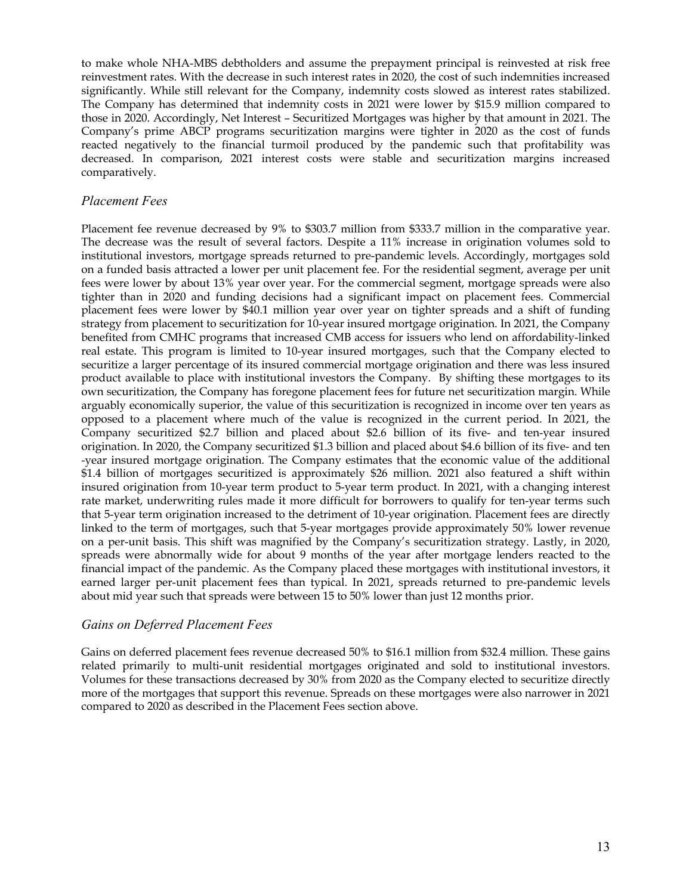to make whole NHA-MBS debtholders and assume the prepayment principal is reinvested at risk free reinvestment rates. With the decrease in such interest rates in 2020, the cost of such indemnities increased significantly. While still relevant for the Company, indemnity costs slowed as interest rates stabilized. The Company has determined that indemnity costs in 2021 were lower by \$15.9 million compared to those in 2020. Accordingly, Net Interest – Securitized Mortgages was higher by that amount in 2021. The Company's prime ABCP programs securitization margins were tighter in 2020 as the cost of funds reacted negatively to the financial turmoil produced by the pandemic such that profitability was decreased. In comparison, 2021 interest costs were stable and securitization margins increased comparatively.

### *Placement Fees*

Placement fee revenue decreased by 9% to \$303.7 million from \$333.7 million in the comparative year. The decrease was the result of several factors. Despite a 11% increase in origination volumes sold to institutional investors, mortgage spreads returned to pre-pandemic levels. Accordingly, mortgages sold on a funded basis attracted a lower per unit placement fee. For the residential segment, average per unit fees were lower by about 13% year over year. For the commercial segment, mortgage spreads were also tighter than in 2020 and funding decisions had a significant impact on placement fees. Commercial placement fees were lower by \$40.1 million year over year on tighter spreads and a shift of funding strategy from placement to securitization for 10-year insured mortgage origination. In 2021, the Company benefited from CMHC programs that increased CMB access for issuers who lend on affordability-linked real estate. This program is limited to 10-year insured mortgages, such that the Company elected to securitize a larger percentage of its insured commercial mortgage origination and there was less insured product available to place with institutional investors the Company. By shifting these mortgages to its own securitization, the Company has foregone placement fees for future net securitization margin. While arguably economically superior, the value of this securitization is recognized in income over ten years as opposed to a placement where much of the value is recognized in the current period. In 2021, the Company securitized \$2.7 billion and placed about \$2.6 billion of its five- and ten-year insured origination. In 2020, the Company securitized \$1.3 billion and placed about \$4.6 billion of its five- and ten -year insured mortgage origination. The Company estimates that the economic value of the additional \$1.4 billion of mortgages securitized is approximately \$26 million. 2021 also featured a shift within insured origination from 10-year term product to 5-year term product. In 2021, with a changing interest rate market, underwriting rules made it more difficult for borrowers to qualify for ten-year terms such that 5-year term origination increased to the detriment of 10-year origination. Placement fees are directly linked to the term of mortgages, such that 5-year mortgages provide approximately 50% lower revenue on a per-unit basis. This shift was magnified by the Company's securitization strategy. Lastly, in 2020, spreads were abnormally wide for about 9 months of the year after mortgage lenders reacted to the financial impact of the pandemic. As the Company placed these mortgages with institutional investors, it earned larger per-unit placement fees than typical. In 2021, spreads returned to pre-pandemic levels about mid year such that spreads were between 15 to 50% lower than just 12 months prior.

#### *Gains on Deferred Placement Fees*

Gains on deferred placement fees revenue decreased 50% to \$16.1 million from \$32.4 million. These gains related primarily to multi-unit residential mortgages originated and sold to institutional investors. Volumes for these transactions decreased by 30% from 2020 as the Company elected to securitize directly more of the mortgages that support this revenue. Spreads on these mortgages were also narrower in 2021 compared to 2020 as described in the Placement Fees section above.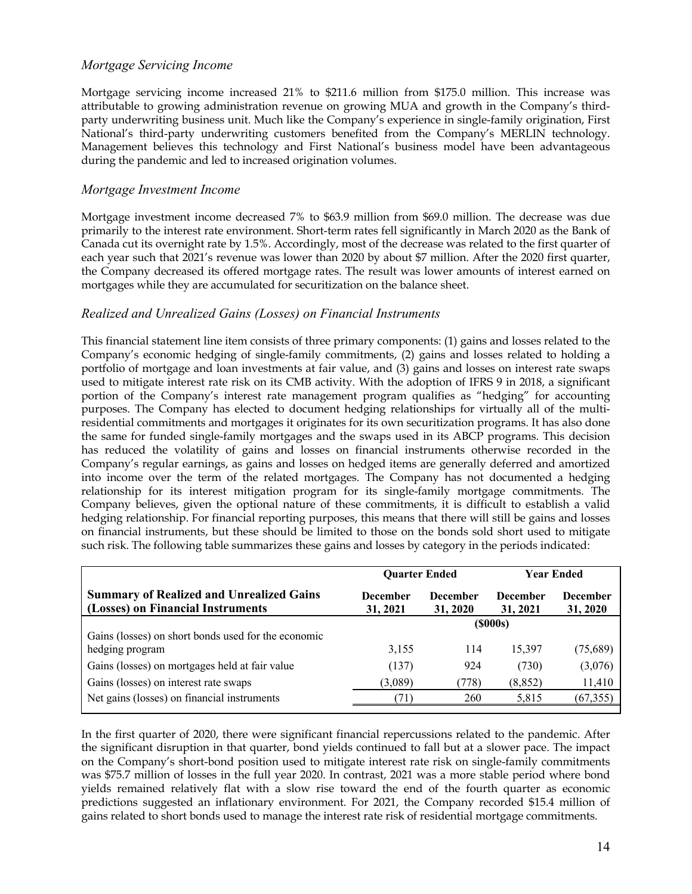### *Mortgage Servicing Income*

Mortgage servicing income increased 21% to \$211.6 million from \$175.0 million. This increase was attributable to growing administration revenue on growing MUA and growth in the Company's thirdparty underwriting business unit. Much like the Company's experience in single-family origination, First National's third-party underwriting customers benefited from the Company's MERLIN technology. Management believes this technology and First National's business model have been advantageous during the pandemic and led to increased origination volumes.

### *Mortgage Investment Income*

Mortgage investment income decreased 7% to \$63.9 million from \$69.0 million. The decrease was due primarily to the interest rate environment. Short-term rates fell significantly in March 2020 as the Bank of Canada cut its overnight rate by 1.5%. Accordingly, most of the decrease was related to the first quarter of each year such that 2021's revenue was lower than 2020 by about \$7 million. After the 2020 first quarter, the Company decreased its offered mortgage rates. The result was lower amounts of interest earned on mortgages while they are accumulated for securitization on the balance sheet.

## *Realized and Unrealized Gains (Losses) on Financial Instruments*

This financial statement line item consists of three primary components: (1) gains and losses related to the Company's economic hedging of single-family commitments, (2) gains and losses related to holding a portfolio of mortgage and loan investments at fair value, and (3) gains and losses on interest rate swaps used to mitigate interest rate risk on its CMB activity. With the adoption of IFRS 9 in 2018, a significant portion of the Company's interest rate management program qualifies as "hedging" for accounting purposes. The Company has elected to document hedging relationships for virtually all of the multiresidential commitments and mortgages it originates for its own securitization programs. It has also done the same for funded single-family mortgages and the swaps used in its ABCP programs. This decision has reduced the volatility of gains and losses on financial instruments otherwise recorded in the Company's regular earnings, as gains and losses on hedged items are generally deferred and amortized into income over the term of the related mortgages. The Company has not documented a hedging relationship for its interest mitigation program for its single-family mortgage commitments. The Company believes, given the optional nature of these commitments, it is difficult to establish a valid hedging relationship. For financial reporting purposes, this means that there will still be gains and losses on financial instruments, but these should be limited to those on the bonds sold short used to mitigate such risk. The following table summarizes these gains and losses by category in the periods indicated:

|                                                                                      | <b>Ouarter Ended</b>        |                             | <b>Year Ended</b>           |                             |
|--------------------------------------------------------------------------------------|-----------------------------|-----------------------------|-----------------------------|-----------------------------|
| <b>Summary of Realized and Unrealized Gains</b><br>(Losses) on Financial Instruments | <b>December</b><br>31, 2021 | <b>December</b><br>31, 2020 | <b>December</b><br>31, 2021 | <b>December</b><br>31, 2020 |
|                                                                                      | (\$000s)                    |                             |                             |                             |
| Gains (losses) on short bonds used for the economic                                  |                             |                             |                             |                             |
| hedging program                                                                      | 3,155                       | 114                         | 15,397                      | (75,689)                    |
| Gains (losses) on mortgages held at fair value                                       | (137)                       | 924                         | (730)                       | (3,076)                     |
| Gains (losses) on interest rate swaps                                                | (3,089)                     | (778)                       | (8, 852)                    | 11,410                      |
| Net gains (losses) on financial instruments                                          | 71)                         | 260                         | 5,815                       | (67, 355)                   |
|                                                                                      |                             |                             |                             |                             |

In the first quarter of 2020, there were significant financial repercussions related to the pandemic. After the significant disruption in that quarter, bond yields continued to fall but at a slower pace. The impact on the Company's short-bond position used to mitigate interest rate risk on single-family commitments was \$75.7 million of losses in the full year 2020. In contrast, 2021 was a more stable period where bond yields remained relatively flat with a slow rise toward the end of the fourth quarter as economic predictions suggested an inflationary environment. For 2021, the Company recorded \$15.4 million of gains related to short bonds used to manage the interest rate risk of residential mortgage commitments.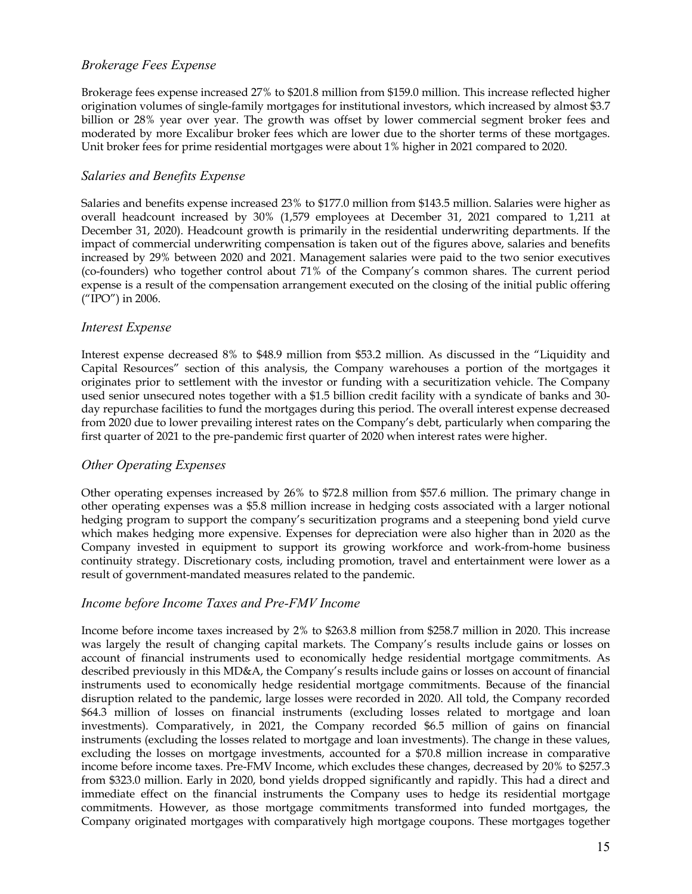## *Brokerage Fees Expense*

Brokerage fees expense increased 27% to \$201.8 million from \$159.0 million. This increase reflected higher origination volumes of single-family mortgages for institutional investors, which increased by almost \$3.7 billion or 28% year over year. The growth was offset by lower commercial segment broker fees and moderated by more Excalibur broker fees which are lower due to the shorter terms of these mortgages. Unit broker fees for prime residential mortgages were about 1% higher in 2021 compared to 2020.

#### *Salaries and Benefits Expense*

Salaries and benefits expense increased 23% to \$177.0 million from \$143.5 million. Salaries were higher as overall headcount increased by 30% (1,579 employees at December 31, 2021 compared to 1,211 at December 31, 2020). Headcount growth is primarily in the residential underwriting departments. If the impact of commercial underwriting compensation is taken out of the figures above, salaries and benefits increased by 29% between 2020 and 2021. Management salaries were paid to the two senior executives (co-founders) who together control about 71% of the Company's common shares. The current period expense is a result of the compensation arrangement executed on the closing of the initial public offering ("IPO") in 2006.

### *Interest Expense*

Interest expense decreased 8% to \$48.9 million from \$53.2 million. As discussed in the "Liquidity and Capital Resources" section of this analysis, the Company warehouses a portion of the mortgages it originates prior to settlement with the investor or funding with a securitization vehicle. The Company used senior unsecured notes together with a \$1.5 billion credit facility with a syndicate of banks and 30 day repurchase facilities to fund the mortgages during this period. The overall interest expense decreased from 2020 due to lower prevailing interest rates on the Company's debt, particularly when comparing the first quarter of 2021 to the pre-pandemic first quarter of 2020 when interest rates were higher.

#### *Other Operating Expenses*

Other operating expenses increased by 26% to \$72.8 million from \$57.6 million. The primary change in other operating expenses was a \$5.8 million increase in hedging costs associated with a larger notional hedging program to support the company's securitization programs and a steepening bond yield curve which makes hedging more expensive. Expenses for depreciation were also higher than in 2020 as the Company invested in equipment to support its growing workforce and work-from-home business continuity strategy. Discretionary costs, including promotion, travel and entertainment were lower as a result of government-mandated measures related to the pandemic.

#### *Income before Income Taxes and Pre-FMV Income*

Income before income taxes increased by 2% to \$263.8 million from \$258.7 million in 2020. This increase was largely the result of changing capital markets. The Company's results include gains or losses on account of financial instruments used to economically hedge residential mortgage commitments. As described previously in this MD&A, the Company's results include gains or losses on account of financial instruments used to economically hedge residential mortgage commitments. Because of the financial disruption related to the pandemic, large losses were recorded in 2020. All told, the Company recorded \$64.3 million of losses on financial instruments (excluding losses related to mortgage and loan investments). Comparatively, in 2021, the Company recorded \$6.5 million of gains on financial instruments (excluding the losses related to mortgage and loan investments). The change in these values, excluding the losses on mortgage investments, accounted for a \$70.8 million increase in comparative income before income taxes. Pre-FMV Income, which excludes these changes, decreased by 20% to \$257.3 from \$323.0 million. Early in 2020, bond yields dropped significantly and rapidly. This had a direct and immediate effect on the financial instruments the Company uses to hedge its residential mortgage commitments. However, as those mortgage commitments transformed into funded mortgages, the Company originated mortgages with comparatively high mortgage coupons. These mortgages together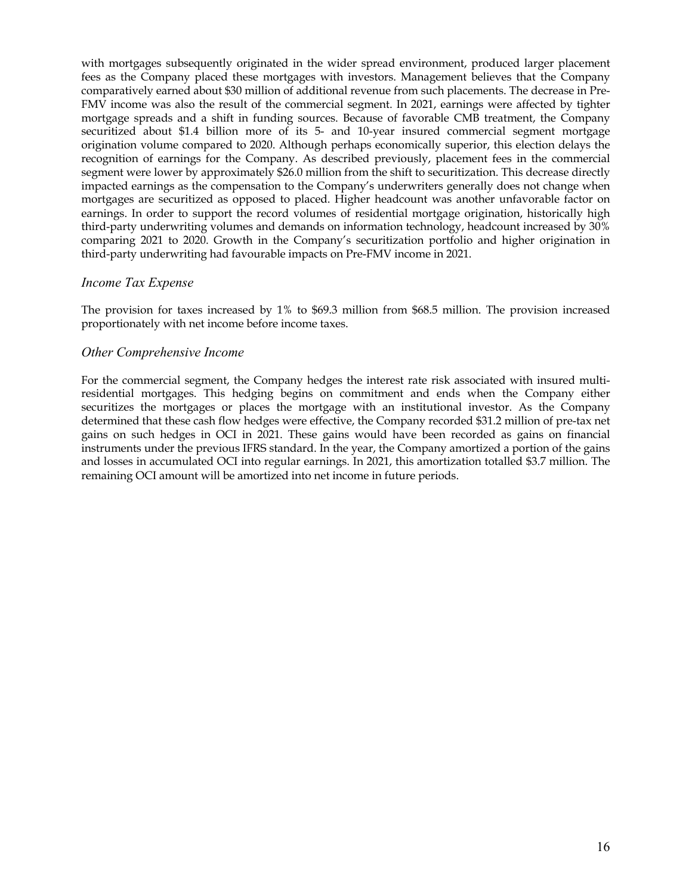with mortgages subsequently originated in the wider spread environment, produced larger placement fees as the Company placed these mortgages with investors. Management believes that the Company comparatively earned about \$30 million of additional revenue from such placements. The decrease in Pre-FMV income was also the result of the commercial segment. In 2021, earnings were affected by tighter mortgage spreads and a shift in funding sources. Because of favorable CMB treatment, the Company securitized about \$1.4 billion more of its 5- and 10-year insured commercial segment mortgage origination volume compared to 2020. Although perhaps economically superior, this election delays the recognition of earnings for the Company. As described previously, placement fees in the commercial segment were lower by approximately \$26.0 million from the shift to securitization. This decrease directly impacted earnings as the compensation to the Company's underwriters generally does not change when mortgages are securitized as opposed to placed. Higher headcount was another unfavorable factor on earnings. In order to support the record volumes of residential mortgage origination, historically high third-party underwriting volumes and demands on information technology, headcount increased by 30% comparing 2021 to 2020. Growth in the Company's securitization portfolio and higher origination in third-party underwriting had favourable impacts on Pre-FMV income in 2021.

### *Income Tax Expense*

The provision for taxes increased by 1% to \$69.3 million from \$68.5 million. The provision increased proportionately with net income before income taxes.

### *Other Comprehensive Income*

For the commercial segment, the Company hedges the interest rate risk associated with insured multiresidential mortgages. This hedging begins on commitment and ends when the Company either securitizes the mortgages or places the mortgage with an institutional investor. As the Company determined that these cash flow hedges were effective, the Company recorded \$31.2 million of pre-tax net gains on such hedges in OCI in 2021. These gains would have been recorded as gains on financial instruments under the previous IFRS standard. In the year, the Company amortized a portion of the gains and losses in accumulated OCI into regular earnings. In 2021, this amortization totalled \$3.7 million. The remaining OCI amount will be amortized into net income in future periods.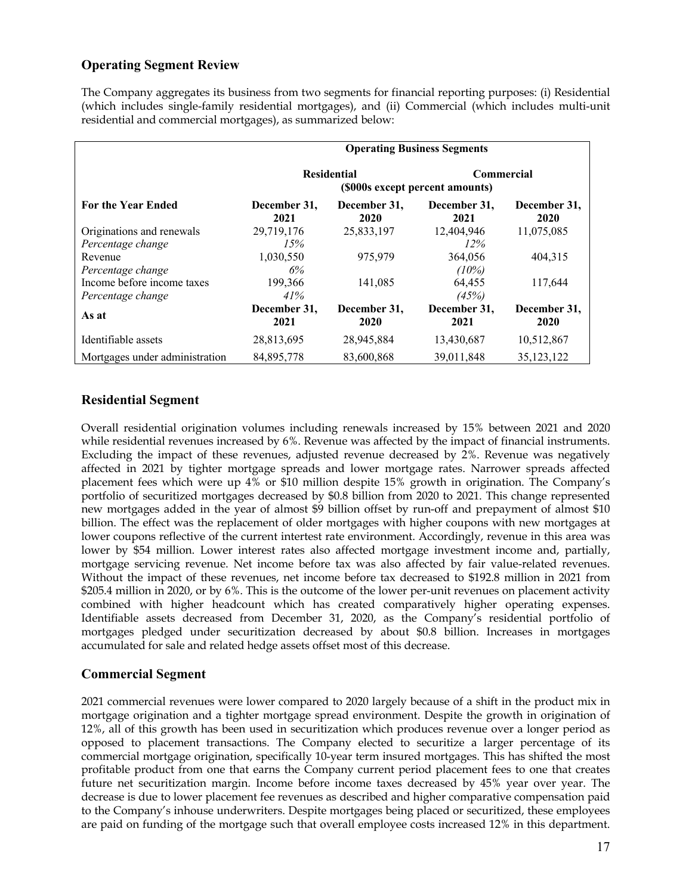# **Operating Segment Review**

The Company aggregates its business from two segments for financial reporting purposes: (i) Residential (which includes single-family residential mortgages), and (ii) Commercial (which includes multi-unit residential and commercial mortgages), as summarized below:

|                                | <b>Operating Business Segments</b> |                      |                                                      |                      |  |  |
|--------------------------------|------------------------------------|----------------------|------------------------------------------------------|----------------------|--|--|
|                                |                                    | <b>Residential</b>   | <b>Commercial</b><br>(\$000s except percent amounts) |                      |  |  |
| <b>For the Year Ended</b>      | December 31,<br>2021               | December 31,<br>2020 | December 31,<br>2021                                 | December 31,<br>2020 |  |  |
| Originations and renewals      | 29,719,176                         | 25,833,197           | 12,404,946                                           | 11,075,085           |  |  |
| Percentage change              | 15%                                |                      | $12\%$                                               |                      |  |  |
| Revenue                        | 1,030,550                          | 975,979              | 364,056                                              | 404,315              |  |  |
| Percentage change              | 6%                                 |                      | $(10\%)$                                             |                      |  |  |
| Income before income taxes     | 199,366                            | 141,085              | 64,455                                               | 117,644              |  |  |
| Percentage change              | 41%                                |                      | (45%)                                                |                      |  |  |
| As at                          | December 31,<br>2021               | December 31,<br>2020 | December 31,<br>2021                                 | December 31,<br>2020 |  |  |
| Identifiable assets            | 28,813,695                         | 28,945,884           | 13,430,687                                           | 10,512,867           |  |  |
| Mortgages under administration | 84,895,778                         | 83,600,868           | 39,011,848                                           | 35,123,122           |  |  |

# **Residential Segment**

Overall residential origination volumes including renewals increased by 15% between 2021 and 2020 while residential revenues increased by 6%. Revenue was affected by the impact of financial instruments. Excluding the impact of these revenues, adjusted revenue decreased by 2%. Revenue was negatively affected in 2021 by tighter mortgage spreads and lower mortgage rates. Narrower spreads affected placement fees which were up 4% or \$10 million despite 15% growth in origination. The Company's portfolio of securitized mortgages decreased by \$0.8 billion from 2020 to 2021. This change represented new mortgages added in the year of almost \$9 billion offset by run-off and prepayment of almost \$10 billion. The effect was the replacement of older mortgages with higher coupons with new mortgages at lower coupons reflective of the current intertest rate environment. Accordingly, revenue in this area was lower by \$54 million. Lower interest rates also affected mortgage investment income and, partially, mortgage servicing revenue. Net income before tax was also affected by fair value-related revenues. Without the impact of these revenues, net income before tax decreased to \$192.8 million in 2021 from \$205.4 million in 2020, or by 6%. This is the outcome of the lower per-unit revenues on placement activity combined with higher headcount which has created comparatively higher operating expenses. Identifiable assets decreased from December 31, 2020, as the Company's residential portfolio of mortgages pledged under securitization decreased by about \$0.8 billion. Increases in mortgages accumulated for sale and related hedge assets offset most of this decrease.

## **Commercial Segment**

2021 commercial revenues were lower compared to 2020 largely because of a shift in the product mix in mortgage origination and a tighter mortgage spread environment. Despite the growth in origination of 12%, all of this growth has been used in securitization which produces revenue over a longer period as opposed to placement transactions. The Company elected to securitize a larger percentage of its commercial mortgage origination, specifically 10-year term insured mortgages. This has shifted the most profitable product from one that earns the Company current period placement fees to one that creates future net securitization margin. Income before income taxes decreased by 45% year over year. The decrease is due to lower placement fee revenues as described and higher comparative compensation paid to the Company's inhouse underwriters. Despite mortgages being placed or securitized, these employees are paid on funding of the mortgage such that overall employee costs increased 12% in this department.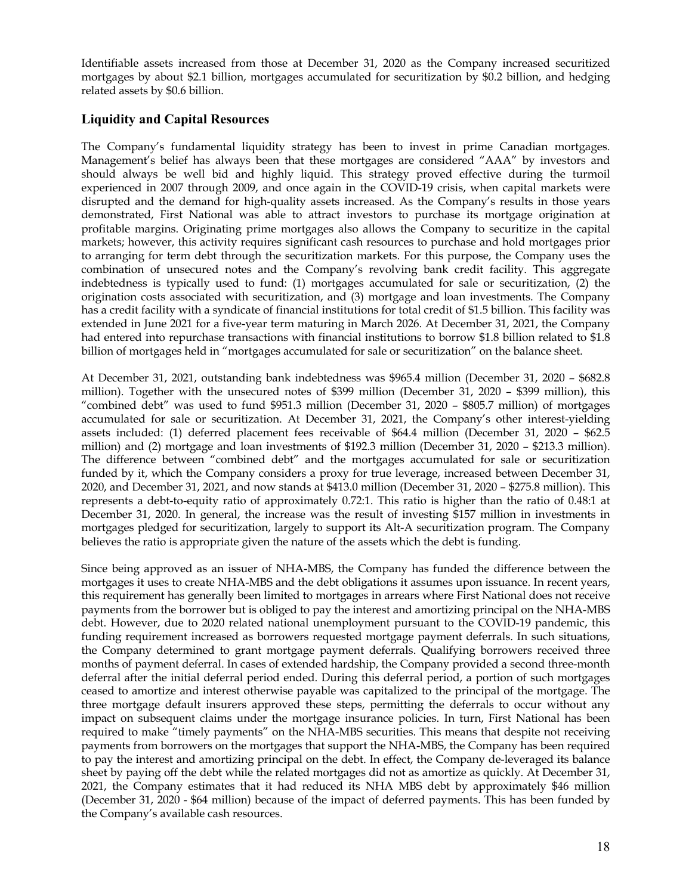Identifiable assets increased from those at December 31, 2020 as the Company increased securitized mortgages by about \$2.1 billion, mortgages accumulated for securitization by \$0.2 billion, and hedging related assets by \$0.6 billion.

## **Liquidity and Capital Resources**

The Company's fundamental liquidity strategy has been to invest in prime Canadian mortgages. Management's belief has always been that these mortgages are considered "AAA" by investors and should always be well bid and highly liquid. This strategy proved effective during the turmoil experienced in 2007 through 2009, and once again in the COVID-19 crisis, when capital markets were disrupted and the demand for high-quality assets increased. As the Company's results in those years demonstrated, First National was able to attract investors to purchase its mortgage origination at profitable margins. Originating prime mortgages also allows the Company to securitize in the capital markets; however, this activity requires significant cash resources to purchase and hold mortgages prior to arranging for term debt through the securitization markets. For this purpose, the Company uses the combination of unsecured notes and the Company's revolving bank credit facility. This aggregate indebtedness is typically used to fund: (1) mortgages accumulated for sale or securitization, (2) the origination costs associated with securitization, and (3) mortgage and loan investments. The Company has a credit facility with a syndicate of financial institutions for total credit of \$1.5 billion. This facility was extended in June 2021 for a five-year term maturing in March 2026. At December 31, 2021, the Company had entered into repurchase transactions with financial institutions to borrow \$1.8 billion related to \$1.8 billion of mortgages held in "mortgages accumulated for sale or securitization" on the balance sheet.

At December 31, 2021, outstanding bank indebtedness was \$965.4 million (December 31, 2020 – \$682.8 million). Together with the unsecured notes of \$399 million (December 31, 2020 – \$399 million), this "combined debt" was used to fund \$951.3 million (December 31, 2020 – \$805.7 million) of mortgages accumulated for sale or securitization. At December 31, 2021, the Company's other interest-yielding assets included: (1) deferred placement fees receivable of \$64.4 million (December 31, 2020 – \$62.5 million) and (2) mortgage and loan investments of \$192.3 million (December 31, 2020 – \$213.3 million). The difference between "combined debt" and the mortgages accumulated for sale or securitization funded by it, which the Company considers a proxy for true leverage, increased between December 31, 2020, and December 31, 2021, and now stands at \$413.0 million (December 31, 2020 – \$275.8 million). This represents a debt-to-equity ratio of approximately 0.72:1. This ratio is higher than the ratio of 0.48:1 at December 31, 2020. In general, the increase was the result of investing \$157 million in investments in mortgages pledged for securitization, largely to support its Alt-A securitization program. The Company believes the ratio is appropriate given the nature of the assets which the debt is funding.

Since being approved as an issuer of NHA-MBS, the Company has funded the difference between the mortgages it uses to create NHA-MBS and the debt obligations it assumes upon issuance. In recent years, this requirement has generally been limited to mortgages in arrears where First National does not receive payments from the borrower but is obliged to pay the interest and amortizing principal on the NHA-MBS debt. However, due to 2020 related national unemployment pursuant to the COVID-19 pandemic, this funding requirement increased as borrowers requested mortgage payment deferrals. In such situations, the Company determined to grant mortgage payment deferrals. Qualifying borrowers received three months of payment deferral. In cases of extended hardship, the Company provided a second three-month deferral after the initial deferral period ended. During this deferral period, a portion of such mortgages ceased to amortize and interest otherwise payable was capitalized to the principal of the mortgage. The three mortgage default insurers approved these steps, permitting the deferrals to occur without any impact on subsequent claims under the mortgage insurance policies. In turn, First National has been required to make "timely payments" on the NHA-MBS securities. This means that despite not receiving payments from borrowers on the mortgages that support the NHA-MBS, the Company has been required to pay the interest and amortizing principal on the debt. In effect, the Company de-leveraged its balance sheet by paying off the debt while the related mortgages did not as amortize as quickly. At December 31, 2021, the Company estimates that it had reduced its NHA MBS debt by approximately \$46 million (December 31, 2020 - \$64 million) because of the impact of deferred payments. This has been funded by the Company's available cash resources.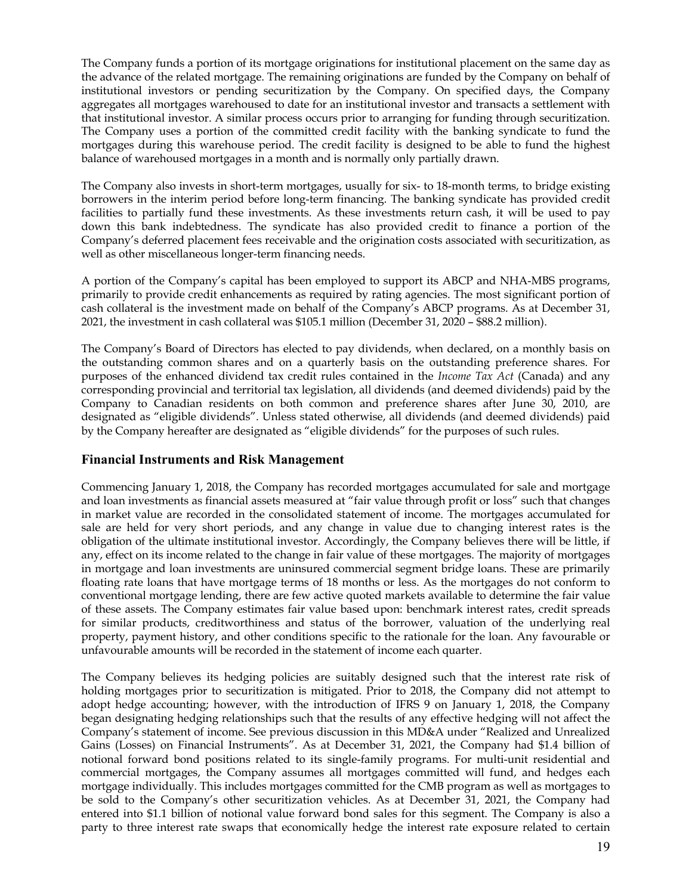The Company funds a portion of its mortgage originations for institutional placement on the same day as the advance of the related mortgage. The remaining originations are funded by the Company on behalf of institutional investors or pending securitization by the Company. On specified days, the Company aggregates all mortgages warehoused to date for an institutional investor and transacts a settlement with that institutional investor. A similar process occurs prior to arranging for funding through securitization. The Company uses a portion of the committed credit facility with the banking syndicate to fund the mortgages during this warehouse period. The credit facility is designed to be able to fund the highest balance of warehoused mortgages in a month and is normally only partially drawn.

The Company also invests in short-term mortgages, usually for six- to 18-month terms, to bridge existing borrowers in the interim period before long-term financing. The banking syndicate has provided credit facilities to partially fund these investments. As these investments return cash, it will be used to pay down this bank indebtedness. The syndicate has also provided credit to finance a portion of the Company's deferred placement fees receivable and the origination costs associated with securitization, as well as other miscellaneous longer-term financing needs.

A portion of the Company's capital has been employed to support its ABCP and NHA-MBS programs, primarily to provide credit enhancements as required by rating agencies. The most significant portion of cash collateral is the investment made on behalf of the Company's ABCP programs. As at December 31, 2021, the investment in cash collateral was \$105.1 million (December 31, 2020 – \$88.2 million).

The Company's Board of Directors has elected to pay dividends, when declared, on a monthly basis on the outstanding common shares and on a quarterly basis on the outstanding preference shares. For purposes of the enhanced dividend tax credit rules contained in the *Income Tax Act* (Canada) and any corresponding provincial and territorial tax legislation, all dividends (and deemed dividends) paid by the Company to Canadian residents on both common and preference shares after June 30, 2010, are designated as "eligible dividends". Unless stated otherwise, all dividends (and deemed dividends) paid by the Company hereafter are designated as "eligible dividends" for the purposes of such rules.

# **Financial Instruments and Risk Management**

Commencing January 1, 2018, the Company has recorded mortgages accumulated for sale and mortgage and loan investments as financial assets measured at "fair value through profit or loss" such that changes in market value are recorded in the consolidated statement of income. The mortgages accumulated for sale are held for very short periods, and any change in value due to changing interest rates is the obligation of the ultimate institutional investor. Accordingly, the Company believes there will be little, if any, effect on its income related to the change in fair value of these mortgages. The majority of mortgages in mortgage and loan investments are uninsured commercial segment bridge loans. These are primarily floating rate loans that have mortgage terms of 18 months or less. As the mortgages do not conform to conventional mortgage lending, there are few active quoted markets available to determine the fair value of these assets. The Company estimates fair value based upon: benchmark interest rates, credit spreads for similar products, creditworthiness and status of the borrower, valuation of the underlying real property, payment history, and other conditions specific to the rationale for the loan. Any favourable or unfavourable amounts will be recorded in the statement of income each quarter.

The Company believes its hedging policies are suitably designed such that the interest rate risk of holding mortgages prior to securitization is mitigated. Prior to 2018, the Company did not attempt to adopt hedge accounting; however, with the introduction of IFRS 9 on January 1, 2018, the Company began designating hedging relationships such that the results of any effective hedging will not affect the Company's statement of income. See previous discussion in this MD&A under "Realized and Unrealized Gains (Losses) on Financial Instruments". As at December 31, 2021, the Company had \$1.4 billion of notional forward bond positions related to its single-family programs. For multi-unit residential and commercial mortgages, the Company assumes all mortgages committed will fund, and hedges each mortgage individually. This includes mortgages committed for the CMB program as well as mortgages to be sold to the Company's other securitization vehicles. As at December 31, 2021, the Company had entered into \$1.1 billion of notional value forward bond sales for this segment. The Company is also a party to three interest rate swaps that economically hedge the interest rate exposure related to certain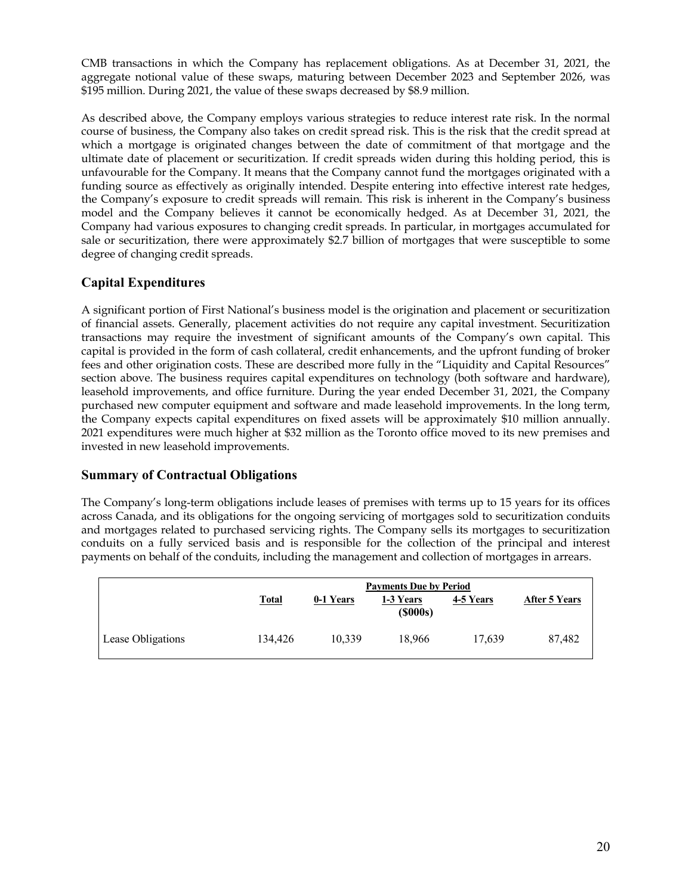CMB transactions in which the Company has replacement obligations. As at December 31, 2021, the aggregate notional value of these swaps, maturing between December 2023 and September 2026, was \$195 million. During 2021, the value of these swaps decreased by \$8.9 million.

As described above, the Company employs various strategies to reduce interest rate risk. In the normal course of business, the Company also takes on credit spread risk. This is the risk that the credit spread at which a mortgage is originated changes between the date of commitment of that mortgage and the ultimate date of placement or securitization. If credit spreads widen during this holding period, this is unfavourable for the Company. It means that the Company cannot fund the mortgages originated with a funding source as effectively as originally intended. Despite entering into effective interest rate hedges, the Company's exposure to credit spreads will remain. This risk is inherent in the Company's business model and the Company believes it cannot be economically hedged. As at December 31, 2021, the Company had various exposures to changing credit spreads. In particular, in mortgages accumulated for sale or securitization, there were approximately \$2.7 billion of mortgages that were susceptible to some degree of changing credit spreads.

# **Capital Expenditures**

A significant portion of First National's business model is the origination and placement or securitization of financial assets. Generally, placement activities do not require any capital investment. Securitization transactions may require the investment of significant amounts of the Company's own capital. This capital is provided in the form of cash collateral, credit enhancements, and the upfront funding of broker fees and other origination costs. These are described more fully in the "Liquidity and Capital Resources" section above. The business requires capital expenditures on technology (both software and hardware), leasehold improvements, and office furniture. During the year ended December 31, 2021, the Company purchased new computer equipment and software and made leasehold improvements. In the long term, the Company expects capital expenditures on fixed assets will be approximately \$10 million annually. 2021 expenditures were much higher at \$32 million as the Toronto office moved to its new premises and invested in new leasehold improvements.

## **Summary of Contractual Obligations**

The Company's long-term obligations include leases of premises with terms up to 15 years for its offices across Canada, and its obligations for the ongoing servicing of mortgages sold to securitization conduits and mortgages related to purchased servicing rights. The Company sells its mortgages to securitization conduits on a fully serviced basis and is responsible for the collection of the principal and interest payments on behalf of the conduits, including the management and collection of mortgages in arrears.

|                   |              | <b>Payments Due by Period</b> |                             |           |               |  |  |  |
|-------------------|--------------|-------------------------------|-----------------------------|-----------|---------------|--|--|--|
|                   | <u>Total</u> | 0-1 Years                     | 1-3 Years<br>$($ \$000s $)$ | 4-5 Years | After 5 Years |  |  |  |
| Lease Obligations | 134.426      | 10.339                        | 18.966                      | 17.639    | 87,482        |  |  |  |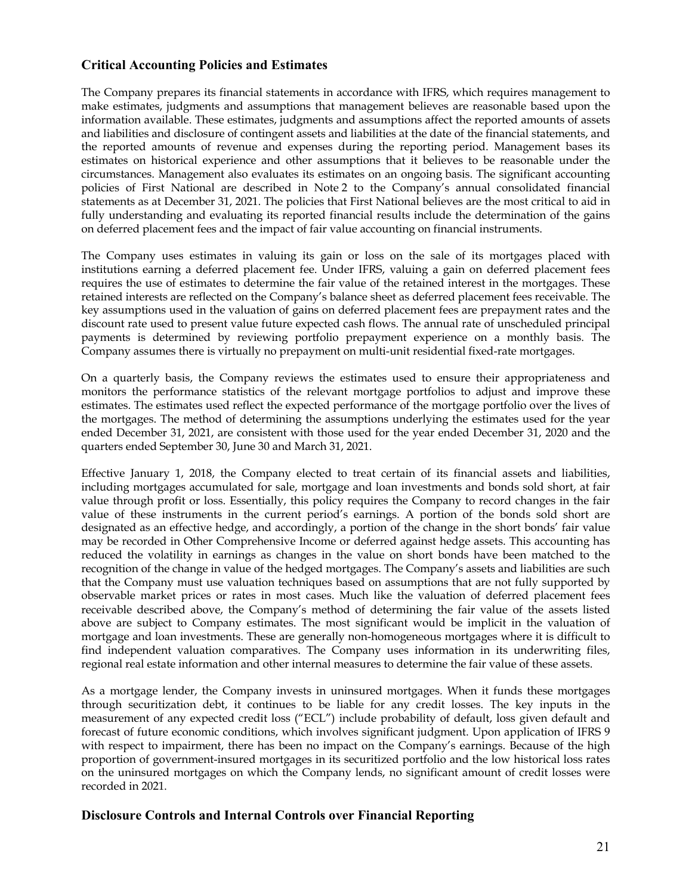## **Critical Accounting Policies and Estimates**

The Company prepares its financial statements in accordance with IFRS, which requires management to make estimates, judgments and assumptions that management believes are reasonable based upon the information available. These estimates, judgments and assumptions affect the reported amounts of assets and liabilities and disclosure of contingent assets and liabilities at the date of the financial statements, and the reported amounts of revenue and expenses during the reporting period. Management bases its estimates on historical experience and other assumptions that it believes to be reasonable under the circumstances. Management also evaluates its estimates on an ongoing basis. The significant accounting policies of First National are described in Note 2 to the Company's annual consolidated financial statements as at December 31, 2021. The policies that First National believes are the most critical to aid in fully understanding and evaluating its reported financial results include the determination of the gains on deferred placement fees and the impact of fair value accounting on financial instruments.

The Company uses estimates in valuing its gain or loss on the sale of its mortgages placed with institutions earning a deferred placement fee. Under IFRS, valuing a gain on deferred placement fees requires the use of estimates to determine the fair value of the retained interest in the mortgages. These retained interests are reflected on the Company's balance sheet as deferred placement fees receivable. The key assumptions used in the valuation of gains on deferred placement fees are prepayment rates and the discount rate used to present value future expected cash flows. The annual rate of unscheduled principal payments is determined by reviewing portfolio prepayment experience on a monthly basis. The Company assumes there is virtually no prepayment on multi-unit residential fixed-rate mortgages.

On a quarterly basis, the Company reviews the estimates used to ensure their appropriateness and monitors the performance statistics of the relevant mortgage portfolios to adjust and improve these estimates. The estimates used reflect the expected performance of the mortgage portfolio over the lives of the mortgages. The method of determining the assumptions underlying the estimates used for the year ended December 31, 2021, are consistent with those used for the year ended December 31, 2020 and the quarters ended September 30, June 30 and March 31, 2021.

Effective January 1, 2018, the Company elected to treat certain of its financial assets and liabilities, including mortgages accumulated for sale, mortgage and loan investments and bonds sold short, at fair value through profit or loss. Essentially, this policy requires the Company to record changes in the fair value of these instruments in the current period's earnings. A portion of the bonds sold short are designated as an effective hedge, and accordingly, a portion of the change in the short bonds' fair value may be recorded in Other Comprehensive Income or deferred against hedge assets. This accounting has reduced the volatility in earnings as changes in the value on short bonds have been matched to the recognition of the change in value of the hedged mortgages. The Company's assets and liabilities are such that the Company must use valuation techniques based on assumptions that are not fully supported by observable market prices or rates in most cases. Much like the valuation of deferred placement fees receivable described above, the Company's method of determining the fair value of the assets listed above are subject to Company estimates. The most significant would be implicit in the valuation of mortgage and loan investments. These are generally non-homogeneous mortgages where it is difficult to find independent valuation comparatives. The Company uses information in its underwriting files, regional real estate information and other internal measures to determine the fair value of these assets.

As a mortgage lender, the Company invests in uninsured mortgages. When it funds these mortgages through securitization debt, it continues to be liable for any credit losses. The key inputs in the measurement of any expected credit loss ("ECL") include probability of default, loss given default and forecast of future economic conditions, which involves significant judgment. Upon application of IFRS 9 with respect to impairment, there has been no impact on the Company's earnings. Because of the high proportion of government-insured mortgages in its securitized portfolio and the low historical loss rates on the uninsured mortgages on which the Company lends, no significant amount of credit losses were recorded in 2021.

## **Disclosure Controls and Internal Controls over Financial Reporting**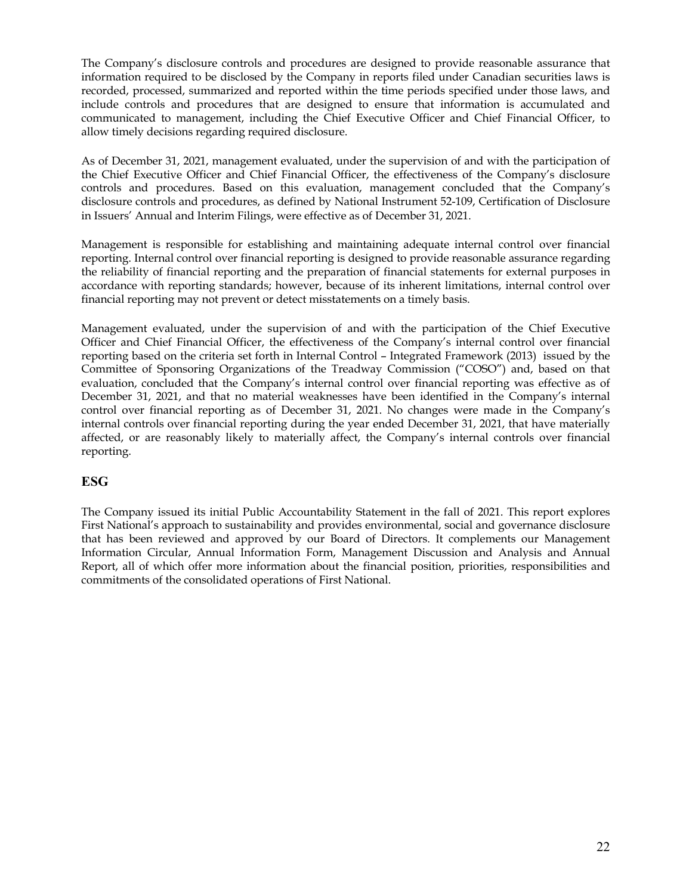The Company's disclosure controls and procedures are designed to provide reasonable assurance that information required to be disclosed by the Company in reports filed under Canadian securities laws is recorded, processed, summarized and reported within the time periods specified under those laws, and include controls and procedures that are designed to ensure that information is accumulated and communicated to management, including the Chief Executive Officer and Chief Financial Officer, to allow timely decisions regarding required disclosure.

As of December 31, 2021, management evaluated, under the supervision of and with the participation of the Chief Executive Officer and Chief Financial Officer, the effectiveness of the Company's disclosure controls and procedures. Based on this evaluation, management concluded that the Company's disclosure controls and procedures, as defined by National Instrument 52-109, Certification of Disclosure in Issuers' Annual and Interim Filings, were effective as of December 31, 2021.

Management is responsible for establishing and maintaining adequate internal control over financial reporting. Internal control over financial reporting is designed to provide reasonable assurance regarding the reliability of financial reporting and the preparation of financial statements for external purposes in accordance with reporting standards; however, because of its inherent limitations, internal control over financial reporting may not prevent or detect misstatements on a timely basis.

Management evaluated, under the supervision of and with the participation of the Chief Executive Officer and Chief Financial Officer, the effectiveness of the Company's internal control over financial reporting based on the criteria set forth in Internal Control – Integrated Framework (2013) issued by the Committee of Sponsoring Organizations of the Treadway Commission ("COSO") and, based on that evaluation, concluded that the Company's internal control over financial reporting was effective as of December 31, 2021, and that no material weaknesses have been identified in the Company's internal control over financial reporting as of December 31, 2021. No changes were made in the Company's internal controls over financial reporting during the year ended December 31, 2021, that have materially affected, or are reasonably likely to materially affect, the Company's internal controls over financial reporting.

# **ESG**

The Company issued its initial Public Accountability Statement in the fall of 2021. This report explores First National's approach to sustainability and provides environmental, social and governance disclosure that has been reviewed and approved by our Board of Directors. It complements our Management Information Circular, Annual Information Form, Management Discussion and Analysis and Annual Report, all of which offer more information about the financial position, priorities, responsibilities and commitments of the consolidated operations of First National.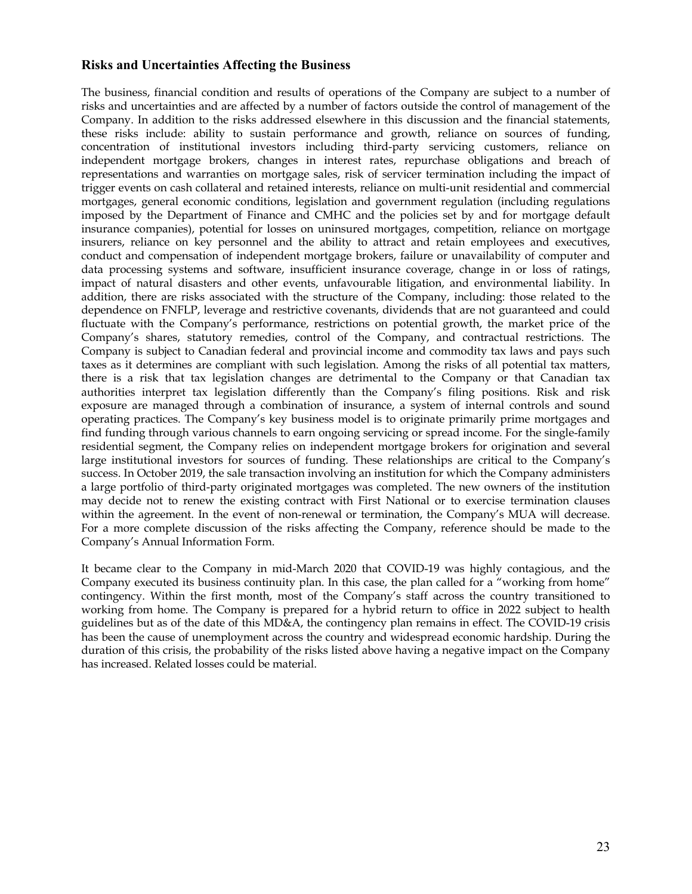#### **Risks and Uncertainties Affecting the Business**

The business, financial condition and results of operations of the Company are subject to a number of risks and uncertainties and are affected by a number of factors outside the control of management of the Company. In addition to the risks addressed elsewhere in this discussion and the financial statements, these risks include: ability to sustain performance and growth, reliance on sources of funding, concentration of institutional investors including third-party servicing customers, reliance on independent mortgage brokers, changes in interest rates, repurchase obligations and breach of representations and warranties on mortgage sales, risk of servicer termination including the impact of trigger events on cash collateral and retained interests, reliance on multi-unit residential and commercial mortgages, general economic conditions, legislation and government regulation (including regulations imposed by the Department of Finance and CMHC and the policies set by and for mortgage default insurance companies), potential for losses on uninsured mortgages, competition, reliance on mortgage insurers, reliance on key personnel and the ability to attract and retain employees and executives, conduct and compensation of independent mortgage brokers, failure or unavailability of computer and data processing systems and software, insufficient insurance coverage, change in or loss of ratings, impact of natural disasters and other events, unfavourable litigation, and environmental liability. In addition, there are risks associated with the structure of the Company, including: those related to the dependence on FNFLP, leverage and restrictive covenants, dividends that are not guaranteed and could fluctuate with the Company's performance, restrictions on potential growth, the market price of the Company's shares, statutory remedies, control of the Company, and contractual restrictions. The Company is subject to Canadian federal and provincial income and commodity tax laws and pays such taxes as it determines are compliant with such legislation. Among the risks of all potential tax matters, there is a risk that tax legislation changes are detrimental to the Company or that Canadian tax authorities interpret tax legislation differently than the Company's filing positions. Risk and risk exposure are managed through a combination of insurance, a system of internal controls and sound operating practices. The Company's key business model is to originate primarily prime mortgages and find funding through various channels to earn ongoing servicing or spread income. For the single-family residential segment, the Company relies on independent mortgage brokers for origination and several large institutional investors for sources of funding. These relationships are critical to the Company's success. In October 2019, the sale transaction involving an institution for which the Company administers a large portfolio of third-party originated mortgages was completed. The new owners of the institution may decide not to renew the existing contract with First National or to exercise termination clauses within the agreement. In the event of non-renewal or termination, the Company's MUA will decrease. For a more complete discussion of the risks affecting the Company, reference should be made to the Company's Annual Information Form.

It became clear to the Company in mid-March 2020 that COVID-19 was highly contagious, and the Company executed its business continuity plan. In this case, the plan called for a "working from home" contingency. Within the first month, most of the Company's staff across the country transitioned to working from home. The Company is prepared for a hybrid return to office in 2022 subject to health guidelines but as of the date of this MD&A, the contingency plan remains in effect. The COVID-19 crisis has been the cause of unemployment across the country and widespread economic hardship. During the duration of this crisis, the probability of the risks listed above having a negative impact on the Company has increased. Related losses could be material.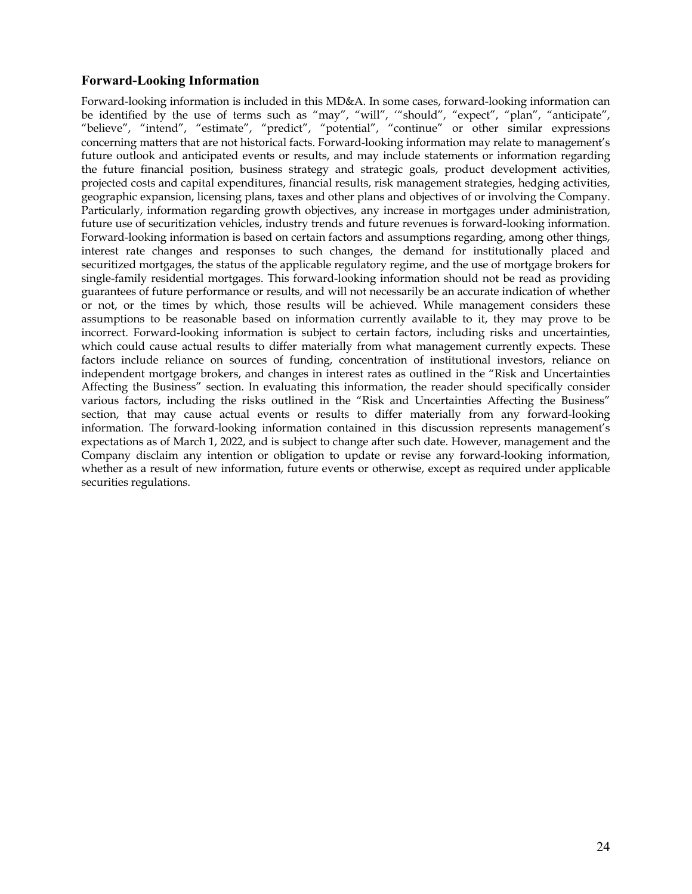## **Forward-Looking Information**

Forward-looking information is included in this MD&A. In some cases, forward-looking information can be identified by the use of terms such as "may", "will", ""should", "expect", "plan", "anticipate", "believe", "intend", "estimate", "predict", "potential", "continue" or other similar expressions concerning matters that are not historical facts. Forward-looking information may relate to management's future outlook and anticipated events or results, and may include statements or information regarding the future financial position, business strategy and strategic goals, product development activities, projected costs and capital expenditures, financial results, risk management strategies, hedging activities, geographic expansion, licensing plans, taxes and other plans and objectives of or involving the Company. Particularly, information regarding growth objectives, any increase in mortgages under administration, future use of securitization vehicles, industry trends and future revenues is forward-looking information. Forward-looking information is based on certain factors and assumptions regarding, among other things, interest rate changes and responses to such changes, the demand for institutionally placed and securitized mortgages, the status of the applicable regulatory regime, and the use of mortgage brokers for single-family residential mortgages. This forward-looking information should not be read as providing guarantees of future performance or results, and will not necessarily be an accurate indication of whether or not, or the times by which, those results will be achieved. While management considers these assumptions to be reasonable based on information currently available to it, they may prove to be incorrect. Forward-looking information is subject to certain factors, including risks and uncertainties, which could cause actual results to differ materially from what management currently expects. These factors include reliance on sources of funding, concentration of institutional investors, reliance on independent mortgage brokers, and changes in interest rates as outlined in the "Risk and Uncertainties Affecting the Business" section. In evaluating this information, the reader should specifically consider various factors, including the risks outlined in the "Risk and Uncertainties Affecting the Business" section, that may cause actual events or results to differ materially from any forward-looking information. The forward-looking information contained in this discussion represents management's expectations as of March 1, 2022, and is subject to change after such date. However, management and the Company disclaim any intention or obligation to update or revise any forward-looking information, whether as a result of new information, future events or otherwise, except as required under applicable securities regulations.